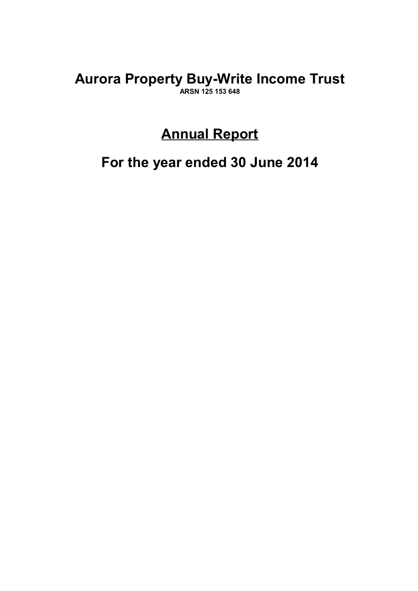## **Aurora Property Buy-Write Income Trust ARSN 125 153 648**

## **Annual Report**

**For the year ended 30 June 2014**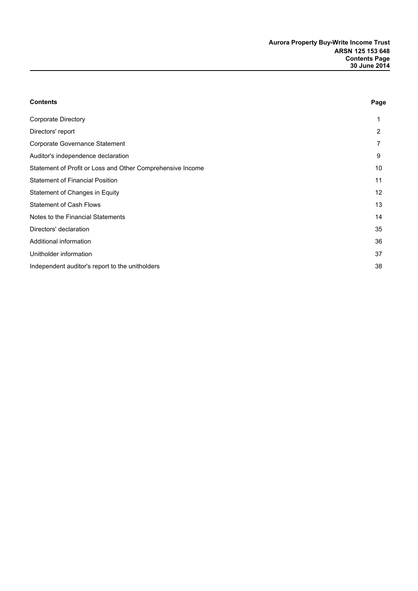| <b>Contents</b>                                            | Page            |
|------------------------------------------------------------|-----------------|
| Corporate Directory                                        | 1               |
| Directors' report                                          | 2               |
| Corporate Governance Statement                             | 7               |
| Auditor's independence declaration                         | 9               |
| Statement of Profit or Loss and Other Comprehensive Income | 10              |
| <b>Statement of Financial Position</b>                     | 11              |
| Statement of Changes in Equity                             | 12 <sup>2</sup> |
| <b>Statement of Cash Flows</b>                             | 13              |
| Notes to the Financial Statements                          | 14              |
| Directors' declaration                                     | 35              |
| Additional information                                     | 36              |
| Unitholder information                                     | 37              |
| Independent auditor's report to the unitholders            | 38              |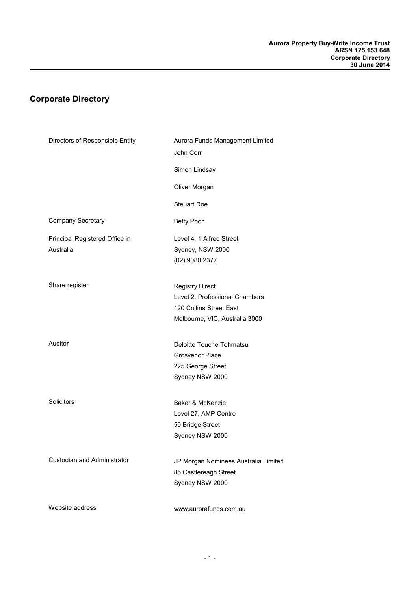## **Corporate Directory**

| Directors of Responsible Entity             | Aurora Funds Management Limited<br>John Corr                                                                          |
|---------------------------------------------|-----------------------------------------------------------------------------------------------------------------------|
|                                             | Simon Lindsay                                                                                                         |
|                                             | Oliver Morgan                                                                                                         |
|                                             | <b>Steuart Roe</b>                                                                                                    |
| <b>Company Secretary</b>                    | <b>Betty Poon</b>                                                                                                     |
| Principal Registered Office in<br>Australia | Level 4, 1 Alfred Street<br>Sydney, NSW 2000<br>(02) 9080 2377                                                        |
| Share register                              | <b>Registry Direct</b><br>Level 2, Professional Chambers<br>120 Collins Street East<br>Melbourne, VIC, Australia 3000 |
| Auditor                                     | Deloitte Touche Tohmatsu<br><b>Grosvenor Place</b><br>225 George Street<br>Sydney NSW 2000                            |
| Solicitors                                  | Baker & McKenzie<br>Level 27, AMP Centre<br>50 Bridge Street<br>Sydney NSW 2000                                       |
| <b>Custodian and Administrator</b>          | JP Morgan Nominees Australia Limited<br>85 Castlereagh Street<br>Sydney NSW 2000                                      |
| Website address                             | www.aurorafunds.com.au                                                                                                |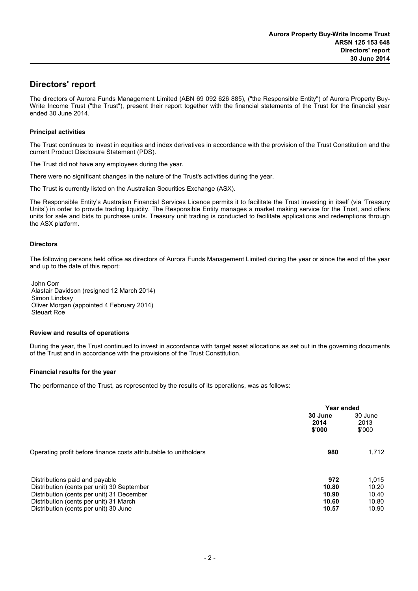## **Directors' report**

The directors of Aurora Funds Management Limited (ABN 69 092 626 885), ("the Responsible Entity") of Aurora Property Buy-Write Income Trust ("the Trust"), present their report together with the financial statements of the Trust for the financial year ended 30 June 2014.

#### **Principal activities**

The Trust continues to invest in equities and index derivatives in accordance with the provision of the Trust Constitution and the current Product Disclosure Statement (PDS).

The Trust did not have any employees during the year.

There were no significant changes in the nature of the Trust's activities during the year.

The Trust is currently listed on the Australian Securities Exchange (ASX).

The Responsible Entity's Australian Financial Services Licence permits it to facilitate the Trust investing in itself (via 'Treasury Units') in order to provide trading liquidity. The Responsible Entity manages a market making service for the Trust, and offers units for sale and bids to purchase units. Treasury unit trading is conducted to facilitate applications and redemptions through the ASX platform.

#### **Directors**

The following persons held office as directors of Aurora Funds Management Limited during the year or since the end of the year and up to the date of this report:

John Corr Alastair Davidson (resigned 12 March 2014) Simon Lindsay Oliver Morgan (appointed 4 February 2014) Steuart Roe

#### **Review and results of operations**

During the year, the Trust continued to invest in accordance with target asset allocations as set out in the governing documents of the Trust and in accordance with the provisions of the Trust Constitution.

#### **Financial results for the year**

The performance of the Trust, as represented by the results of its operations, was as follows:

|                                                                                                                                                                                                              | Year ended                              |                                           |
|--------------------------------------------------------------------------------------------------------------------------------------------------------------------------------------------------------------|-----------------------------------------|-------------------------------------------|
|                                                                                                                                                                                                              | 30 June<br>2014<br>\$'000               | 30 June<br>2013<br>\$'000                 |
| Operating profit before finance costs attributable to unitholders                                                                                                                                            | 980                                     | 1.712                                     |
| Distributions paid and payable<br>Distribution (cents per unit) 30 September<br>Distribution (cents per unit) 31 December<br>Distribution (cents per unit) 31 March<br>Distribution (cents per unit) 30 June | 972<br>10.80<br>10.90<br>10.60<br>10.57 | 1.015<br>10.20<br>10.40<br>10.80<br>10.90 |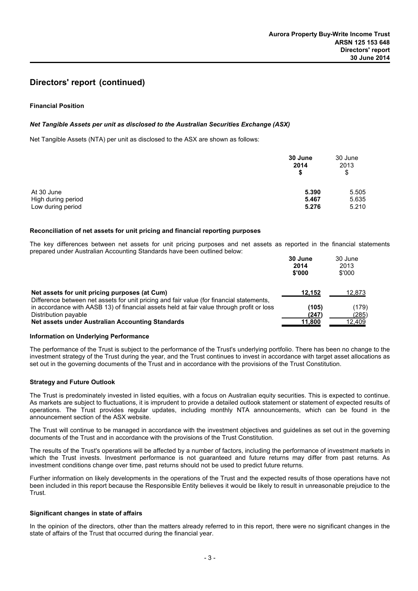#### **Financial Position**

#### *Net Tangible Assets per unit as disclosed to the Australian Securities Exchange (ASX)*

Net Tangible Assets (NTA) per unit as disclosed to the ASX are shown as follows:

|                    | 30 June<br>2014<br>\$ | 30 June<br>2013<br>\$ |
|--------------------|-----------------------|-----------------------|
| At 30 June         | 5.390                 | 5.505                 |
| High during period | 5.467                 | 5.635                 |
| Low during period  | 5.276                 | 5.210                 |

#### **Reconciliation of net assets for unit pricing and financial reporting purposes**

The key differences between net assets for unit pricing purposes and net assets as reported in the financial statements prepared under Australian Accounting Standards have been outlined below:

|                                                                                                                                           | 30 June<br>2014<br>\$'000 | 30 June<br>2013<br>\$'000 |
|-------------------------------------------------------------------------------------------------------------------------------------------|---------------------------|---------------------------|
| Net assets for unit pricing purposes (at Cum)<br>Difference between net assets for unit pricing and fair value (for financial statements, | 12.152                    | 12,873                    |
| in accordance with AASB 13) of financial assets held at fair value through profit or loss                                                 | (105)                     | (179)                     |
| Distribution payable                                                                                                                      | (247)                     | (285)                     |
| Net assets under Australian Accounting Standards                                                                                          | 11,800                    | 12,409                    |

#### **Information on Underlying Performance**

The performance of the Trust is subject to the performance of the Trust's underlying portfolio. There has been no change to the investment strategy of the Trust during the year, and the Trust continues to invest in accordance with target asset allocations as set out in the governing documents of the Trust and in accordance with the provisions of the Trust Constitution.

#### **Strategy and Future Outlook**

The Trust is predominately invested in listed equities, with a focus on Australian equity securities. This is expected to continue. As markets are subject to fluctuations, it is imprudent to provide a detailed outlook statement or statement of expected results of operations. The Trust provides regular updates, including monthly NTA announcements, which can be found in the announcement section of the ASX website.

The Trust will continue to be managed in accordance with the investment objectives and guidelines as set out in the governing documents of the Trust and in accordance with the provisions of the Trust Constitution.

The results of the Trust's operations will be affected by a number of factors, including the performance of investment markets in which the Trust invests. Investment performance is not guaranteed and future returns may differ from past returns. As investment conditions change over time, past returns should not be used to predict future returns.

Further information on likely developments in the operations of the Trust and the expected results of those operations have not been included in this report because the Responsible Entity believes it would be likely to result in unreasonable prejudice to the Trust.

#### **Significant changes in state of affairs**

In the opinion of the directors, other than the matters already referred to in this report, there were no significant changes in the state of affairs of the Trust that occurred during the financial year.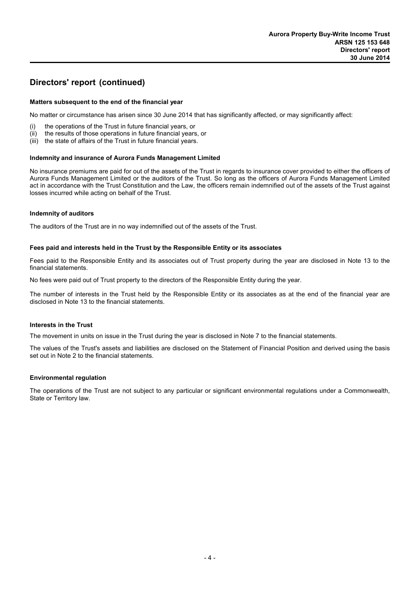#### **Matters subsequent to the end of the financial year**

No matter or circumstance has arisen since 30 June 2014 that has significantly affected, or may significantly affect:

- (i) the operations of the Trust in future financial years, or
- (ii) the results of those operations in future financial years, or
- (iii) the state of affairs of the Trust in future financial years.

#### **Indemnity and insurance of Aurora Funds Management Limited**

No insurance premiums are paid for out of the assets of the Trust in regards to insurance cover provided to either the officers of Aurora Funds Management Limited or the auditors of the Trust. So long as the officers of Aurora Funds Management Limited act in accordance with the Trust Constitution and the Law, the officers remain indemnified out of the assets of the Trust against losses incurred while acting on behalf of the Trust.

#### **Indemnity of auditors**

The auditors of the Trust are in no way indemnified out of the assets of the Trust.

#### **Fees paid and interests held in the Trust by the Responsible Entity or its associates**

Fees paid to the Responsible Entity and its associates out of Trust property during the year are disclosed in Note 13 to the financial statements.

No fees were paid out of Trust property to the directors of the Responsible Entity during the year.

The number of interests in the Trust held by the Responsible Entity or its associates as at the end of the financial year are disclosed in Note 13 to the financial statements.

#### **Interests in the Trust**

The movement in units on issue in the Trust during the year is disclosed in Note 7 to the financial statements.

The values of the Trust's assets and liabilities are disclosed on the Statement of Financial Position and derived using the basis set out in Note 2 to the financial statements.

#### **Environmental regulation**

The operations of the Trust are not subject to any particular or significant environmental regulations under a Commonwealth, State or Territory law.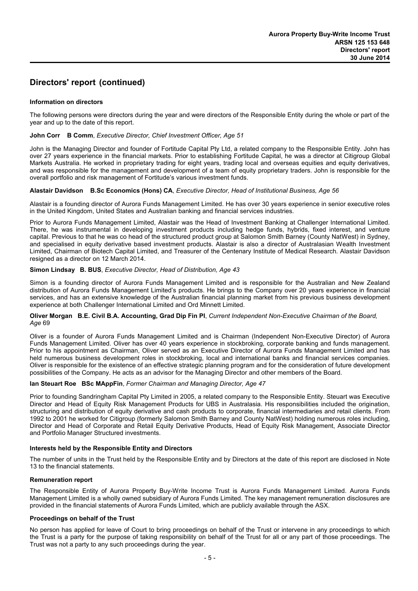#### **Information on directors**

The following persons were directors during the year and were directors of the Responsible Entity during the whole or part of the year and up to the date of this report.

#### **John Corr B Comm**, *Executive Director, Chief Investment Officer, Age 51*

John is the Managing Director and founder of Fortitude Capital Pty Ltd, a related company to the Responsible Entity. John has over 27 years experience in the financial markets. Prior to establishing Fortitude Capital, he was a director at Citigroup Global Markets Australia. He worked in proprietary trading for eight years, trading local and overseas equities and equity derivatives, and was responsible for the management and development of a team of equity proprietary traders. John is responsible for the overall portfolio and risk management of Fortitude's various investment funds.

#### **Alastair Davidson B.Sc Economics (Hons) CA**, *Executive Director, Head of Institutional Business, Age 56*

Alastair is a founding director of Aurora Funds Management Limited. He has over 30 years experience in senior executive roles in the United Kingdom, United States and Australian banking and financial services industries.

Prior to Aurora Funds Management Limited, Alastair was the Head of Investment Banking at Challenger International Limited. There, he was instrumental in developing investment products including hedge funds, hybrids, fixed interest, and venture capital. Previous to that he was co head of the structured product group at Salomon Smith Barney (County NatWest) in Sydney, and specialised in equity derivative based investment products. Alastair is also a director of Australasian Wealth Investment Limited, Chairman of Biotech Capital Limited, and Treasurer of the Centenary Institute of Medical Research. Alastair Davidson resigned as a director on 12 March 2014.

#### **Simon Lindsay B. BUS**, *Executive Director, Head of Distribution, Age 43*

Simon is a founding director of Aurora Funds Management Limited and is responsible for the Australian and New Zealand distribution of Aurora Funds Management Limited's products. He brings to the Company over 20 years experience in financial services, and has an extensive knowledge of the Australian financial planning market from his previous business development experience at both Challenger International Limited and Ord Minnett Limited.

#### **Oliver Morgan B.E. Civil B.A. Accounting, Grad Dip Fin PI**, *Current Independent Non-Executive Chairman of the Board, Age* 69

Oliver is a founder of Aurora Funds Management Limited and is Chairman (Independent Non-Executive Director) of Aurora Funds Management Limited. Oliver has over 40 years experience in stockbroking, corporate banking and funds management. Prior to his appointment as Chairman, Oliver served as an Executive Director of Aurora Funds Management Limited and has held numerous business development roles in stockbroking, local and international banks and financial services companies. Oliver is responsible for the existence of an effective strategic planning program and for the consideration of future development possibilities of the Company. He acts as an advisor for the Managing Director and other members of the Board.

#### **Ian Steuart Roe BSc MAppFin**, *Former Chairman and Managing Director, Age 47*

Prior to founding Sandringham Capital Pty Limited in 2005, a related company to the Responsible Entity. Steuart was Executive Director and Head of Equity Risk Management Products for UBS in Australasia. His responsibilities included the origination, structuring and distribution of equity derivative and cash products to corporate, financial intermediaries and retail clients. From 1992 to 2001 he worked for Citigroup (formerly Salomon Smith Barney and County NatWest) holding numerous roles including, Director and Head of Corporate and Retail Equity Derivative Products, Head of Equity Risk Management, Associate Director and Portfolio Manager Structured investments.

#### **Interests held by the Responsible Entity and Directors**

The number of units in the Trust held by the Responsible Entity and by Directors at the date of this report are disclosed in Note 13 to the financial statements.

#### **Remuneration report**

The Responsible Entity of Aurora Property Buy-Write Income Trust is Aurora Funds Management Limited. Aurora Funds Management Limited is a wholly owned subsidiary of Aurora Funds Limited. The key management remuneration disclosures are provided in the financial statements of Aurora Funds Limited, which are publicly available through the ASX.

#### **Proceedings on behalf of the Trust**

No person has applied for leave of Court to bring proceedings on behalf of the Trust or intervene in any proceedings to which the Trust is a party for the purpose of taking responsibility on behalf of the Trust for all or any part of those proceedings. The Trust was not a party to any such proceedings during the year.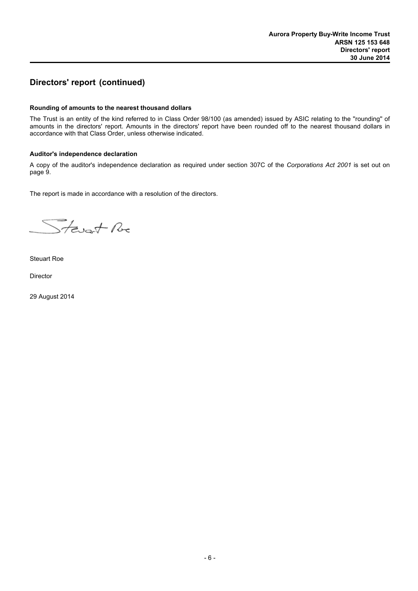#### **Rounding of amounts to the nearest thousand dollars**

The Trust is an entity of the kind referred to in Class Order 98/100 (as amended) issued by ASIC relating to the ''rounding'' of amounts in the directors' report. Amounts in the directors' report have been rounded off to the nearest thousand dollars in accordance with that Class Order, unless otherwise indicated.

#### **Auditor's independence declaration**

A copy of the auditor's independence declaration as required under section 307C of the *Corporations Act 2001* is set out on page 9.

The report is made in accordance with a resolution of the directors.

Stevent Re

Steuart Roe

Director

29 August 2014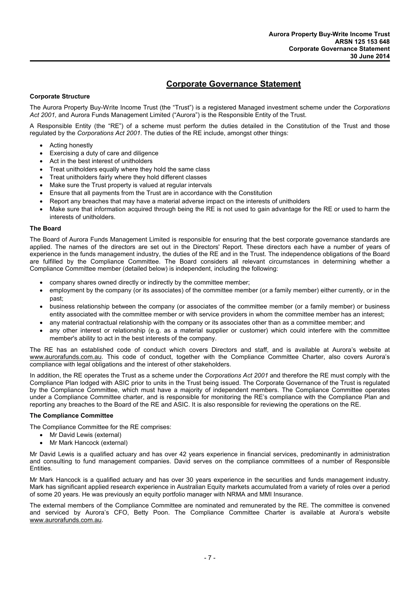## **Corporate Governance Statement**

#### **Corporate Structure**

The Aurora Property Buy-Write Income Trust (the "Trust") is a registered Managed investment scheme under the *Corporations Act 2001,* and Aurora Funds Management Limited ("Aurora") is the Responsible Entity of the Trust.

A Responsible Entity (the "RE") of a scheme must perform the duties detailed in the Constitution of the Trust and those regulated by the *Corporations Act 2001*. The duties of the RE include, amongst other things:

- Acting honestly
- Exercising a duty of care and diligence
- Act in the best interest of unitholders
- Treat unitholders equally where they hold the same class
- Treat unitholders fairly where they hold different classes
- Make sure the Trust property is valued at regular intervals
- Ensure that all payments from the Trust are in accordance with the Constitution
- Report any breaches that may have a material adverse impact on the interests of unitholders
- Make sure that information acquired through being the RE is not used to gain advantage for the RE or used to harm the interests of unitholders.

#### **The Board**

The Board of Aurora Funds Management Limited is responsible for ensuring that the best corporate governance standards are applied. The names of the directors are set out in the Directors' Report. These directors each have a number of years of experience in the funds management industry, the duties of the RE and in the Trust. The independence obligations of the Board are fulfilled by the Compliance Committee. The Board considers all relevant circumstances in determining whether a Compliance Committee member (detailed below) is independent, including the following:

- company shares owned directly or indirectly by the committee member;
- employment by the company (or its associates) of the committee member (or a family member) either currently, or in the past;
- business relationship between the company (or associates of the committee member (or a family member) or business entity associated with the committee member or with service providers in whom the committee member has an interest;
- any material contractual relationship with the company or its associates other than as a committee member; and
- any other interest or relationship (e.g. as a material supplier or customer) which could interfere with the committee member's ability to act in the best interests of the company.

The RE has an established code of conduct which covers Directors and staff, and is available at Aurora's website at www.aurorafunds.com.au. This code of conduct, together with the Compliance Committee Charter, also covers Aurora's compliance with legal obligations and the interest of other stakeholders.

In addition, the RE operates the Trust as a scheme under the *Corporations Act 2001* and therefore the RE must comply with the Compliance Plan lodged with ASIC prior to units in the Trust being issued. The Corporate Governance of the Trust is regulated by the Compliance Committee, which must have a majority of independent members. The Compliance Committee operates under a Compliance Committee charter, and is responsible for monitoring the RE's compliance with the Compliance Plan and reporting any breaches to the Board of the RE and ASIC. It is also responsible for reviewing the operations on the RE.

#### **The Compliance Committee**

The Compliance Committee for the RE comprises:

- Mr David Lewis (external)
- Mr Mark Hancock (external)

Mr David Lewis is a qualified actuary and has over 42 years experience in financial services, predominantly in administration and consulting to fund management companies. David serves on the compliance committees of a number of Responsible Entities.

Mr Mark Hancock is a qualified actuary and has over 30 years experience in the securities and funds management industry. Mark has significant applied research experience in Australian Equity markets accumulated from a variety of roles over a period of some 20 years. He was previously an equity portfolio manager with NRMA and MMI Insurance.

The external members of the Compliance Committee are nominated and remunerated by the RE. The committee is convened and serviced by Aurora's CFO, Betty Poon. The Compliance Committee Charter is available at Aurora's website www.aurorafunds.com.au.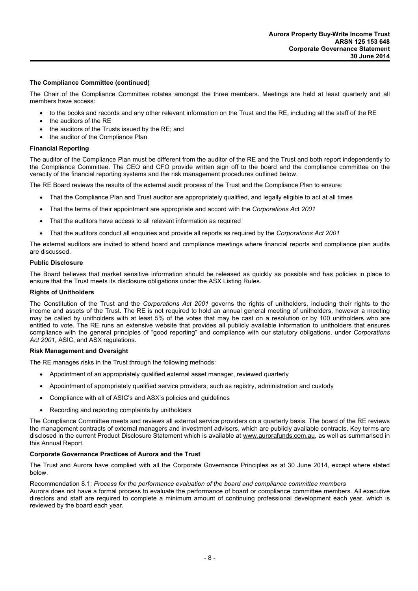#### **The Compliance Committee (continued)**

The Chair of the Compliance Committee rotates amongst the three members. Meetings are held at least quarterly and all members have access:

- to the books and records and any other relevant information on the Trust and the RE, including all the staff of the RE
- the auditors of the RE
- the auditors of the Trusts issued by the RE; and
- the auditor of the Compliance Plan

#### **Financial Reporting**

The auditor of the Compliance Plan must be different from the auditor of the RE and the Trust and both report independently to the Compliance Committee. The CEO and CFO provide written sign off to the board and the compliance committee on the veracity of the financial reporting systems and the risk management procedures outlined below.

The RE Board reviews the results of the external audit process of the Trust and the Compliance Plan to ensure:

- That the Compliance Plan and Trust auditor are appropriately qualified, and legally eligible to act at all times
- That the terms of their appointment are appropriate and accord with the *Corporations Ac*t *2001*
- That the auditors have access to all relevant information as required
- That the auditors conduct all enquiries and provide all reports as required by the *Corporations Act 2001*

The external auditors are invited to attend board and compliance meetings where financial reports and compliance plan audits are discussed.

#### **Public Disclosure**

The Board believes that market sensitive information should be released as quickly as possible and has policies in place to ensure that the Trust meets its disclosure obligations under the ASX Listing Rules.

#### **Rights of Unitholders**

The Constitution of the Trust and the *Corporations Act 2001* governs the rights of unitholders, including their rights to the income and assets of the Trust. The RE is not required to hold an annual general meeting of unitholders, however a meeting may be called by unitholders with at least 5% of the votes that may be cast on a resolution or by 100 unitholders who are entitled to vote. The RE runs an extensive website that provides all publicly available information to unitholders that ensures compliance with the general principles of "good reporting" and compliance with our statutory obligations, under *Corporations Act 2001*, ASIC, and ASX regulations.

#### **Risk Management and Oversight**

The RE manages risks in the Trust through the following methods:

- Appointment of an appropriately qualified external asset manager, reviewed quarterly
- Appointment of appropriately qualified service providers, such as registry, administration and custody
- Compliance with all of ASIC's and ASX's policies and guidelines
- Recording and reporting complaints by unitholders

The Compliance Committee meets and reviews all external service providers on a quarterly basis. The board of the RE reviews the management contracts of external managers and investment advisers, which are publicly available contracts. Key terms are disclosed in the current Product Disclosure Statement which is available at www.aurorafunds.com.au, as well as summarised in this Annual Report.

#### **Corporate Governance Practices of Aurora and the Trust**

The Trust and Aurora have complied with all the Corporate Governance Principles as at 30 June 2014, except where stated below.

Recommendation 8.1: *Process for the performance evaluation of the board and compliance committee members* Aurora does not have a formal process to evaluate the performance of board or compliance committee members. All executive directors and staff are required to complete a minimum amount of continuing professional development each year, which is reviewed by the board each year.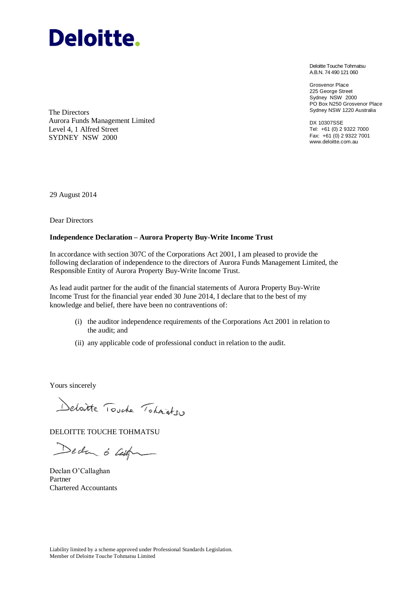

Deloitte Touche Tohmatsu A.B.N. 74 490 121 060

Grosvenor Place 225 George Street Sydney NSW 2000 PO Box N250 Grosvenor Place Sydney NSW 1220 Australia

DX 10307SSE Tel: +61 (0) 2 9322 7000 Fax: +61 (0) 2 9322 7001 www.deloitte.com.au

The Directors Aurora Funds Management Limited Level 4, 1 Alfred Street SYDNEY NSW 2000

29 August 2014

Dear Directors

#### **Independence Declaration – Aurora Property Buy-Write Income Trust**

In accordance with section 307C of the Corporations Act 2001, I am pleased to provide the following declaration of independence to the directors of Aurora Funds Management Limited, the Responsible Entity of Aurora Property Buy-Write Income Trust.

As lead audit partner for the audit of the financial statements of Aurora Property Buy-Write Income Trust for the financial year ended 30 June 2014, I declare that to the best of my knowledge and belief, there have been no contraventions of:

- (i) the auditor independence requirements of the Corporations Act 2001 in relation to the audit; and
- (ii) any applicable code of professional conduct in relation to the audit.

Yours sincerely

Deloite Touche Tohnisters

DELOITTE TOUCHE TOHMATSU

Deden 6 carter

Declan O'Callaghan Partner Chartered Accountants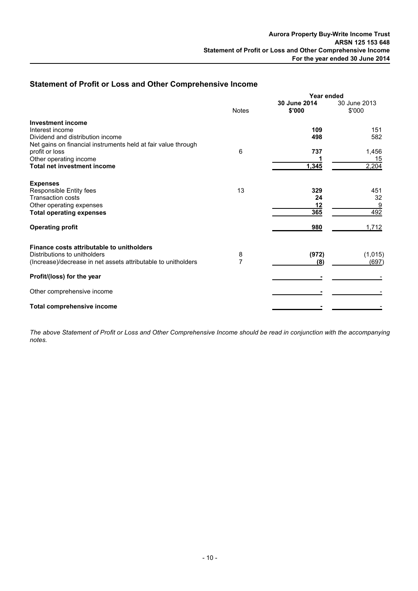## **Statement of Profit or Loss and Other Comprehensive Income**

|                                                               | Year ended     |                        |                        |
|---------------------------------------------------------------|----------------|------------------------|------------------------|
|                                                               | <b>Notes</b>   | 30 June 2014<br>\$'000 | 30 June 2013<br>\$'000 |
| <b>Investment income</b><br>Interest income                   |                | 109                    | 151                    |
| Dividend and distribution income                              |                | 498                    | 582                    |
| Net gains on financial instruments held at fair value through |                |                        |                        |
| profit or loss<br>Other operating income                      | 6              | 737                    | 1,456<br>15            |
| <b>Total net investment income</b>                            |                | 1,345                  | 2,204                  |
| <b>Expenses</b>                                               |                |                        |                        |
| Responsible Entity fees                                       | 13             | 329                    | 451                    |
| <b>Transaction costs</b><br>Other operating expenses          |                | 24<br>12               | 32<br>9                |
| <b>Total operating expenses</b>                               |                | 365                    | 492                    |
| <b>Operating profit</b>                                       |                | 980                    | 1,712                  |
| Finance costs attributable to unitholders                     |                |                        |                        |
| Distributions to unitholders                                  | 8              | (972)                  | (1,015)                |
| (Increase)/decrease in net assets attributable to unitholders | $\overline{7}$ | (8)                    | (697)                  |
| Profit/(loss) for the year                                    |                |                        |                        |
| Other comprehensive income                                    |                |                        |                        |
| Total comprehensive income                                    |                |                        |                        |

*The above Statement of Profit or Loss and Other Comprehensive Income should be read in conjunction with the accompanying notes.*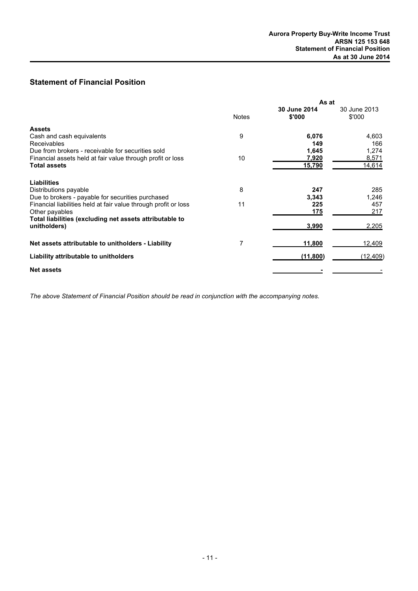## **Statement of Financial Position**

|                                                                 | As at        |                        |                        |
|-----------------------------------------------------------------|--------------|------------------------|------------------------|
|                                                                 | <b>Notes</b> | 30 June 2014<br>\$'000 | 30 June 2013<br>\$'000 |
| <b>Assets</b>                                                   |              |                        |                        |
| Cash and cash equivalents                                       | 9            | 6,076                  | 4,603                  |
| Receivables                                                     |              | 149                    | 166                    |
| Due from brokers - receivable for securities sold               |              | 1,645                  | 1,274                  |
| Financial assets held at fair value through profit or loss      | 10           | 7,920                  | 8,571                  |
| <b>Total assets</b>                                             |              | 15,790                 | 14,614                 |
| Liabilities                                                     |              |                        |                        |
| Distributions payable                                           | 8            | 247                    | 285                    |
| Due to brokers - payable for securities purchased               |              | 3,343                  | 1,246                  |
| Financial liabilities held at fair value through profit or loss | 11           | 225                    | 457                    |
| Other payables                                                  |              | 175                    | 217                    |
| Total liabilities (excluding net assets attributable to         |              |                        |                        |
| unitholders)                                                    |              | 3,990                  | 2,205                  |
| Net assets attributable to unitholders - Liability              | 7            | 11,800                 | 12,409                 |
| Liability attributable to unitholders                           |              | (11, 800)              | (12, 409)              |
| <b>Net assets</b>                                               |              |                        |                        |

*The above Statement of Financial Position should be read in conjunction with the accompanying notes.*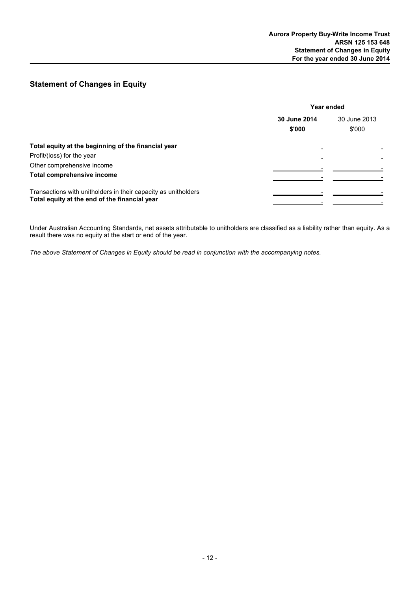## **Statement of Changes in Equity**

|                                                                                                                 | Year ended             |                        |
|-----------------------------------------------------------------------------------------------------------------|------------------------|------------------------|
|                                                                                                                 | 30 June 2014<br>\$'000 | 30 June 2013<br>\$'000 |
| Total equity at the beginning of the financial year                                                             |                        |                        |
| Profit/(loss) for the year                                                                                      |                        |                        |
| Other comprehensive income                                                                                      |                        |                        |
| Total comprehensive income                                                                                      |                        |                        |
| Transactions with unitholders in their capacity as unitholders<br>Total equity at the end of the financial year |                        |                        |

Under Australian Accounting Standards, net assets attributable to unitholders are classified as a liability rather than equity. As a result there was no equity at the start or end of the year.

*The above Statement of Changes in Equity should be read in conjunction with the accompanying notes.*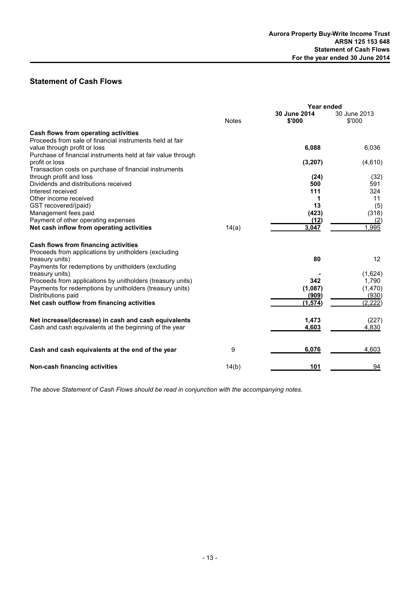## **Statement of Cash Flows**

|                                                              |              | Year ended             |                          |
|--------------------------------------------------------------|--------------|------------------------|--------------------------|
|                                                              | <b>Notes</b> | 30 June 2014<br>\$'000 | 30 June 2013<br>\$'000   |
| Cash flows from operating activities                         |              |                        |                          |
| Proceeds from sale of financial instruments held at fair     |              |                        |                          |
| value through profit or loss                                 |              | 6,088                  | 6,036                    |
| Purchase of financial instruments held at fair value through |              |                        |                          |
| profit or loss                                               |              | (3,207)                | (4,610)                  |
| Transaction costs on purchase of financial instruments       |              |                        |                          |
| through profit and loss                                      |              | (24)                   | (32)                     |
| Dividends and distributions received<br>Interest received    |              | 500<br>111             | 591<br>324               |
| Other income received                                        |              | 1                      | 11                       |
| GST recovered/(paid)                                         |              | 13                     | (5)                      |
| Management fees paid                                         |              | (423)                  | (318)                    |
| Payment of other operating expenses                          |              | (12)                   | (2)                      |
| Net cash inflow from operating activities                    | 14(a)        | 3,047                  | 1,995                    |
| <b>Cash flows from financing activities</b>                  |              |                        |                          |
| Proceeds from applications by unitholders (excluding         |              |                        |                          |
| treasury units)                                              |              | 80                     | 12                       |
| Payments for redemptions by unitholders (excluding           |              |                        |                          |
| treasury units)                                              |              |                        | (1,624)                  |
| Proceeds from applications by unitholders (treasury units)   |              | 342                    | 1,790                    |
| Payments for redemptions by unitholders (treasury units)     |              | (1,087)                | (1,470)                  |
| Distributions paid                                           |              | (909)                  | <u>(930)</u><br>(2, 222) |
| Net cash outflow from financing activities                   |              | (1, 574)               |                          |
| Net increase/(decrease) in cash and cash equivalents         |              | 1,473                  | (227)                    |
| Cash and cash equivalents at the beginning of the year       |              | 4,603                  | 4.830                    |
| Cash and cash equivalents at the end of the year             | 9            | 6,076                  | 4,603                    |
| Non-cash financing activities                                | 14(b)        | 101                    | 94                       |

*The above Statement of Cash Flows should be read in conjunction with the accompanying notes.*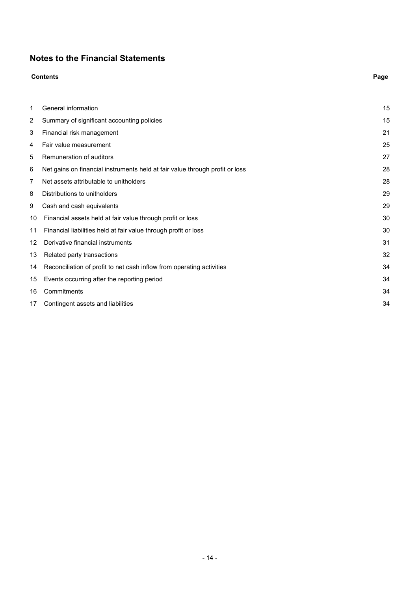## **Notes to the Financial Statements**

|    | <b>Contents</b>                                                              | Page |
|----|------------------------------------------------------------------------------|------|
| 1  | General information                                                          | 15   |
| 2  | Summary of significant accounting policies                                   | 15   |
| 3  | Financial risk management                                                    | 21   |
| 4  | Fair value measurement                                                       | 25   |
| 5  | Remuneration of auditors                                                     | 27   |
| 6  | Net gains on financial instruments held at fair value through profit or loss | 28   |
| 7  | Net assets attributable to unitholders                                       | 28   |
| 8  | Distributions to unitholders                                                 | 29   |
| 9  | Cash and cash equivalents                                                    | 29   |
| 10 | Financial assets held at fair value through profit or loss                   | 30   |
| 11 | Financial liabilities held at fair value through profit or loss              | 30   |
| 12 | Derivative financial instruments                                             | 31   |
| 13 | Related party transactions                                                   | 32   |
| 14 | Reconciliation of profit to net cash inflow from operating activities        | 34   |
| 15 | Events occurring after the reporting period                                  | 34   |
| 16 | Commitments                                                                  | 34   |
| 17 | Contingent assets and liabilities                                            | 34   |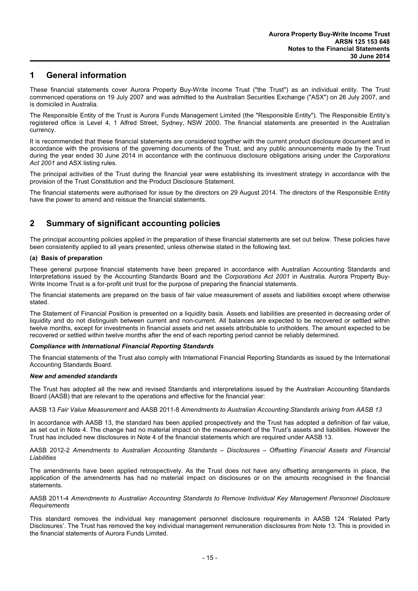## **1 General information**

These financial statements cover Aurora Property Buy-Write Income Trust ("the Trust") as an individual entity. The Trust commenced operations on 19 July 2007 and was admitted to the Australian Securities Exchange ("ASX") on 26 July 2007, and is domiciled in Australia.

The Responsible Entity of the Trust is Aurora Funds Management Limited (the "Responsible Entity"). The Responsible Entity's registered office is Level 4, 1 Alfred Street, Sydney, NSW 2000. The financial statements are presented in the Australian currency.

It is recommended that these financial statements are considered together with the current product disclosure document and in accordance with the provisions of the governing documents of the Trust, and any public announcements made by the Trust during the year ended 30 June 2014 in accordance with the continuous disclosure obligations arising under the *Corporations Act 2001* and ASX listing rules.

The principal activities of the Trust during the financial year were establishing its investment strategy in accordance with the provision of the Trust Constitution and the Product Disclosure Statement.

The financial statements were authorised for issue by the directors on 29 August 2014. The directors of the Responsible Entity have the power to amend and reissue the financial statements.

## **2 Summary of significant accounting policies**

The principal accounting policies applied in the preparation of these financial statements are set out below. These policies have been consistently applied to all years presented, unless otherwise stated in the following text.

#### **(a) Basis of preparation**

These general purpose financial statements have been prepared in accordance with Australian Accounting Standards and Interpretations issued by the Accounting Standards Board and the *Corporations Act 2001* in Australia. Aurora Property Buy-Write Income Trust is a for-profit unit trust for the purpose of preparing the financial statements.

The financial statements are prepared on the basis of fair value measurement of assets and liabilities except where otherwise stated.

The Statement of Financial Position is presented on a liquidity basis. Assets and liabilities are presented in decreasing order of liquidity and do not distinguish between current and non-current. All balances are expected to be recovered or settled within twelve months, except for investments in financial assets and net assets attributable to unitholders. The amount expected to be recovered or settled within twelve months after the end of each reporting period cannot be reliably determined.

#### *Compliance with International Financial Reporting Standards*

The financial statements of the Trust also comply with International Financial Reporting Standards as issued by the International Accounting Standards Board.

#### *New and amended standards*

The Trust has adopted all the new and revised Standards and interpretations issued by the Australian Accounting Standards Board (AASB) that are relevant to the operations and effective for the financial year:

AASB 13 *Fair Value Measurement* and AASB 2011-8 *Amendments to Australian Accounting Standards arising from AASB 13*

In accordance with AASB 13, the standard has been applied prospectively and the Trust has adopted a definition of fair value, as set out in Note 4. The change had no material impact on the measurement of the Trust's assets and liabilities. However the Trust has included new disclosures in Note 4 of the financial statements which are required under AASB 13.

AASB 2012-2 *Amendments to Australian Accounting Standards – Disclosures – Offsetting Financial Assets and Financial Liabilities*

The amendments have been applied retrospectively. As the Trust does not have any offsetting arrangements in place, the application of the amendments has had no material impact on disclosures or on the amounts recognised in the financial statements.

#### AASB 2011-4 *Amendments to Australian Accounting Standards to Remove Individual Key Management Personnel Disclosure Requirements*

This standard removes the individual key management personnel disclosure requirements in AASB 124 'Related Party Disclosures'. The Trust has removed the key individual management remuneration disclosures from Note 13. This is provided in the financial statements of Aurora Funds Limited.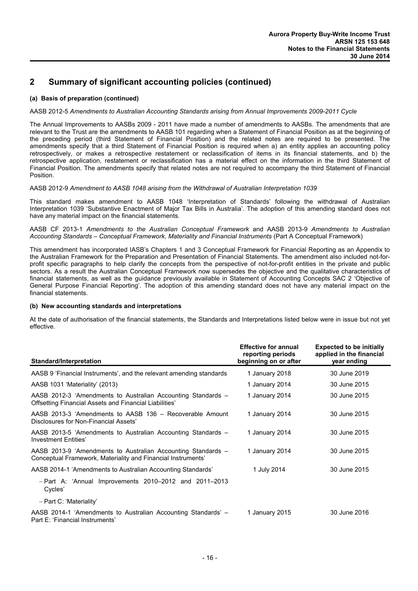#### **(a) Basis of preparation (continued)**

#### AASB 2012-5 *Amendments to Australian Accounting Standards arising from Annual Improvements 2009-2011 Cycle*

The Annual Improvements to AASBs 2009 - 2011 have made a number of amendments to AASBs. The amendments that are relevant to the Trust are the amendments to AASB 101 regarding when a Statement of Financial Position as at the beginning of the preceding period (third Statement of Financial Position) and the related notes are required to be presented. The amendments specify that a third Statement of Financial Position is required when a) an entity applies an accounting policy retrospectively, or makes a retrospective restatement or reclassification of items in its financial statements, and b) the retrospective application, restatement or reclassification has a material effect on the information in the third Statement of Financial Position. The amendments specify that related notes are not required to accompany the third Statement of Financial Position.

AASB 2012-9 *Amendment to AASB 1048 arising from the Withdrawal of Australian Interpretation 1039*

This standard makes amendment to AASB 1048 'Interpretation of Standards' following the withdrawal of Australian Interpretation 1039 'Substantive Enactment of Major Tax Bills in Australia'. The adoption of this amending standard does not have any material impact on the financial statements.

AASB CF 2013-1 *Amendments to the Australian Conceptual Framework* and AASB 2013-9 *Amendments to Australian Accounting Standards – Conceptual Framework, Materiality and Financial Instruments* (Part A Conceptual Framework)

This amendment has incorporated IASB's Chapters 1 and 3 Conceptual Framework for Financial Reporting as an Appendix to the Australian Framework for the Preparation and Presentation of Financial Statements. The amendment also included not-forprofit specific paragraphs to help clarify the concepts from the perspective of not-for-profit entities in the private and public sectors. As a result the Australian Conceptual Framework now supersedes the objective and the qualitative characteristics of financial statements, as well as the guidance previously available in Statement of Accounting Concepts SAC 2 'Objective of General Purpose Financial Reporting'. The adoption of this amending standard does not have any material impact on the financial statements.

#### **(b) New accounting standards and interpretations**

At the date of authorisation of the financial statements, the Standards and Interpretations listed below were in issue but not yet effective.

| Standard/Interpretation                                                                                                      | <b>Effective for annual</b><br>reporting periods<br>beginning on or after | <b>Expected to be initially</b><br>applied in the financial<br>year ending |
|------------------------------------------------------------------------------------------------------------------------------|---------------------------------------------------------------------------|----------------------------------------------------------------------------|
| AASB 9 'Financial Instruments', and the relevant amending standards                                                          | 1 January 2018                                                            | 30 June 2019                                                               |
| AASB 1031 'Materiality' (2013)                                                                                               | 1 January 2014                                                            | 30 June 2015                                                               |
| AASB 2012-3 'Amendments to Australian Accounting Standards –<br>Offsetting Financial Assets and Financial Liabilities'       | 1 January 2014                                                            | 30 June 2015                                                               |
| AASB 2013-3 'Amendments to AASB 136 - Recoverable Amount<br>Disclosures for Non-Financial Assets'                            | 1 January 2014                                                            | 30 June 2015                                                               |
| AASB 2013-5 'Amendments to Australian Accounting Standards –<br>Investment Entities'                                         | 1 January 2014                                                            | 30 June 2015                                                               |
| AASB 2013-9 'Amendments to Australian Accounting Standards -<br>Conceptual Framework, Materiality and Financial Instruments' | 1 January 2014                                                            | 30 June 2015                                                               |
| AASB 2014-1 'Amendments to Australian Accounting Standards'                                                                  | 1 July 2014                                                               | 30 June 2015                                                               |
| $-$ Part A: 'Annual Improvements 2010–2012 and 2011–2013<br>Cycles'                                                          |                                                                           |                                                                            |
| - Part C: 'Materiality'                                                                                                      |                                                                           |                                                                            |
| AASB 2014-1 'Amendments to Australian Accounting Standards' –<br>Part E: 'Financial Instruments'                             | 1 January 2015                                                            | 30 June 2016                                                               |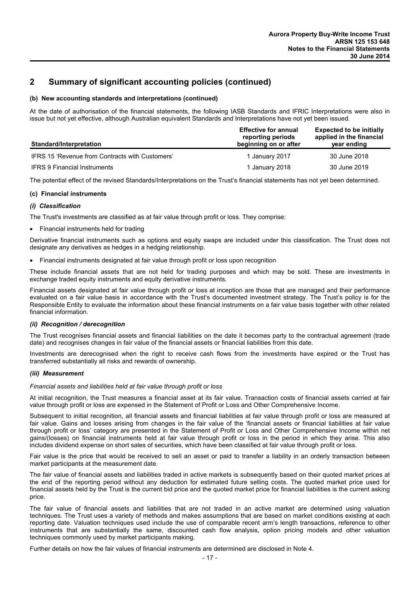#### **(b) New accounting standards and interpretations (continued)**

At the date of authorisation of the financial statements, the following IASB Standards and IFRIC Interpretations were also in issue but not yet effective, although Australian equivalent Standards and Interpretations have not yet been issued.

| Standard/Interpretation                         | <b>Effective for annual</b><br>reporting periods<br>beginning on or after | <b>Expected to be initially</b><br>applied in the financial<br>year ending |
|-------------------------------------------------|---------------------------------------------------------------------------|----------------------------------------------------------------------------|
| IFRS 15 'Revenue from Contracts with Customers' | 1 January 2017                                                            | 30 June 2018                                                               |
| <b>IFRS 9 Financial Instruments</b>             | 1 January 2018                                                            | 30 June 2019                                                               |

The potential effect of the revised Standards/Interpretations on the Trust's financial statements has not yet been determined.

#### **(c) Financial instruments**

#### *(i) Classification*

The Trust's investments are classified as at fair value through profit or loss. They comprise:

Financial instruments held for trading

Derivative financial instruments such as options and equity swaps are included under this classification. The Trust does not designate any derivatives as hedges in a hedging relationship.

Financial instruments designated at fair value through profit or loss upon recognition

These include financial assets that are not held for trading purposes and which may be sold. These are investments in exchange traded equity instruments and equity derivative instruments.

Financial assets designated at fair value through profit or loss at inception are those that are managed and their performance evaluated on a fair value basis in accordance with the Trust's documented investment strategy. The Trust's policy is for the Responsible Entity to evaluate the information about these financial instruments on a fair value basis together with other related financial information.

#### *(ii) Recognition / derecognition*

The Trust recognises financial assets and financial liabilities on the date it becomes party to the contractual agreement (trade date) and recognises changes in fair value of the financial assets or financial liabilities from this date.

Investments are derecognised when the right to receive cash flows from the investments have expired or the Trust has transferred substantially all risks and rewards of ownership.

#### *(iii) Measurement*

#### *Financial assets and liabilities held at fair value through profit or loss*

At initial recognition, the Trust measures a financial asset at its fair value. Transaction costs of financial assets carried at fair value through profit or loss are expensed in the Statement of Profit or Loss and Other Comprehensive Income.

Subsequent to initial recognition, all financial assets and financial liabilities at fair value through profit or loss are measured at fair value. Gains and losses arising from changes in the fair value of the 'financial assets or financial liabilities at fair value through profit or loss' category are presented in the Statement of Profit or Loss and Other Comprehensive Income within net gains/(losses) on financial instruments held at fair value through profit or loss in the period in which they arise. This also includes dividend expense on short sales of securities, which have been classified at fair value through profit or loss.

Fair value is the price that would be received to sell an asset or paid to transfer a liability in an orderly transaction between market participants at the measurement date.

The fair value of financial assets and liabilities traded in active markets is subsequently based on their quoted market prices at the end of the reporting period without any deduction for estimated future selling costs. The quoted market price used for financial assets held by the Trust is the current bid price and the quoted market price for financial liabilities is the current asking price.

The fair value of financial assets and liabilities that are not traded in an active market are determined using valuation techniques. The Trust uses a variety of methods and makes assumptions that are based on market conditions existing at each reporting date. Valuation techniques used include the use of comparable recent arm's length transactions, reference to other instruments that are substantially the same, discounted cash flow analysis, option pricing models and other valuation techniques commonly used by market participants making.

Further details on how the fair values of financial instruments are determined are disclosed in Note 4.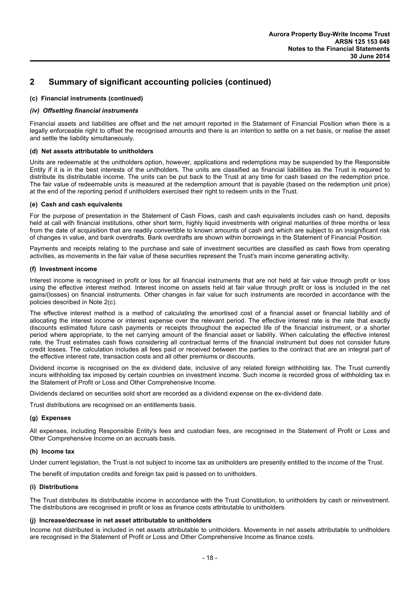#### **(c) Financial instruments (continued)**

#### *(iv) Offsetting financial instruments*

Financial assets and liabilities are offset and the net amount reported in the Statement of Financial Position when there is a legally enforceable right to offset the recognised amounts and there is an intention to settle on a net basis, or realise the asset and settle the liability simultaneously.

#### **(d) Net assets attributable to unitholders**

Units are redeemable at the unitholders option, however, applications and redemptions may be suspended by the Responsible Entity if it is in the best interests of the unitholders. The units are classified as financial liabilities as the Trust is required to distribute its distributable income. The units can be put back to the Trust at any time for cash based on the redemption price. The fair value of redeemable units is measured at the redemption amount that is payable (based on the redemption unit price) at the end of the reporting period if unitholders exercised their right to redeem units in the Trust.

#### **(e) Cash and cash equivalents**

For the purpose of presentation in the Statement of Cash Flows, cash and cash equivalents includes cash on hand, deposits held at call with financial institutions, other short term, highly liquid investments with original maturities of three months or less from the date of acquisition that are readily convertible to known amounts of cash and which are subject to an insignificant risk of changes in value, and bank overdrafts. Bank overdrafts are shown within borrowings in the Statement of Financial Position.

Payments and receipts relating to the purchase and sale of investment securities are classified as cash flows from operating activities, as movements in the fair value of these securities represent the Trust's main income generating activity.

#### **(f) Investment income**

Interest income is recognised in profit or loss for all financial instruments that are not held at fair value through profit or loss using the effective interest method. Interest income on assets held at fair value through profit or loss is included in the net gains/(losses) on financial instruments. Other changes in fair value for such instruments are recorded in accordance with the policies described in Note 2(c).

The effective interest method is a method of calculating the amortised cost of a financial asset or financial liability and of allocating the interest income or interest expense over the relevant period. The effective interest rate is the rate that exactly discounts estimated future cash payments or receipts throughout the expected life of the financial instrument, or a shorter period where appropriate, to the net carrying amount of the financial asset or liability. When calculating the effective interest rate, the Trust estimates cash flows considering all contractual terms of the financial instrument but does not consider future credit losses. The calculation includes all fees paid or received between the parties to the contract that are an integral part of the effective interest rate, transaction costs and all other premiums or discounts.

Dividend income is recognised on the ex dividend date, inclusive of any related foreign withholding tax. The Trust currently incurs withholding tax imposed by certain countries on investment income. Such income is recorded gross of withholding tax in the Statement of Profit or Loss and Other Comprehensive Income.

Dividends declared on securities sold short are recorded as a dividend expense on the ex-dividend date.

Trust distributions are recognised on an entitlements basis.

#### **(g) Expenses**

All expenses, including Responsible Entity's fees and custodian fees, are recognised in the Statement of Profit or Loss and Other Comprehensive Income on an accruals basis.

#### **(h) Income tax**

Under current legislation, the Trust is not subject to income tax as unitholders are presently entitled to the income of the Trust.

The benefit of imputation credits and foreign tax paid is passed on to unitholders.

#### **(i) Distributions**

The Trust distributes its distributable income in accordance with the Trust Constitution, to unitholders by cash or reinvestment. The distributions are recognised in profit or loss as finance costs attributable to unitholders.

#### **(j) Increase/decrease in net asset attributable to unitholders**

Income not distributed is included in net assets attributable to unitholders. Movements in net assets attributable to unitholders are recognised in the Statement of Profit or Loss and Other Comprehensive Income as finance costs.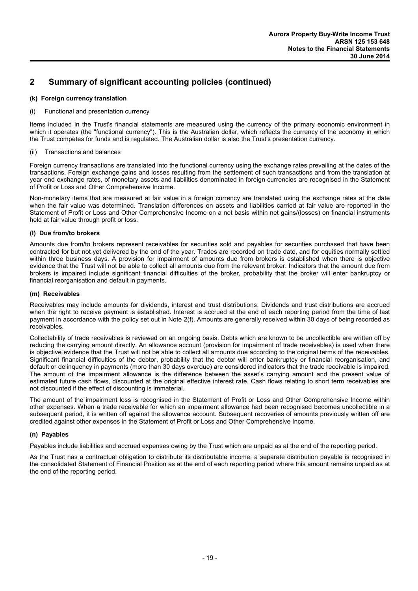#### **(k) Foreign currency translation**

#### (i) Functional and presentation currency

Items included in the Trust's financial statements are measured using the currency of the primary economic environment in which it operates (the "functional currency"). This is the Australian dollar, which reflects the currency of the economy in which the Trust competes for funds and is regulated. The Australian dollar is also the Trust's presentation currency.

#### (ii) Transactions and balances

Foreign currency transactions are translated into the functional currency using the exchange rates prevailing at the dates of the transactions. Foreign exchange gains and losses resulting from the settlement of such transactions and from the translation at year end exchange rates, of monetary assets and liabilities denominated in foreign currencies are recognised in the Statement of Profit or Loss and Other Comprehensive Income.

Non-monetary items that are measured at fair value in a foreign currency are translated using the exchange rates at the date when the fair value was determined. Translation differences on assets and liabilities carried at fair value are reported in the Statement of Profit or Loss and Other Comprehensive Income on a net basis within net gains/(losses) on financial instruments held at fair value through profit or loss.

#### **(l) Due from/to brokers**

Amounts due from/to brokers represent receivables for securities sold and payables for securities purchased that have been contracted for but not yet delivered by the end of the year. Trades are recorded on trade date, and for equities normally settled within three business days. A provision for impairment of amounts due from brokers is established when there is objective evidence that the Trust will not be able to collect all amounts due from the relevant broker. Indicators that the amount due from brokers is impaired include significant financial difficulties of the broker, probability that the broker will enter bankruptcy or financial reorganisation and default in payments.

#### **(m) Receivables**

Receivables may include amounts for dividends, interest and trust distributions. Dividends and trust distributions are accrued when the right to receive payment is established. Interest is accrued at the end of each reporting period from the time of last payment in accordance with the policy set out in Note 2(f). Amounts are generally received within 30 days of being recorded as receivables.

Collectability of trade receivables is reviewed on an ongoing basis. Debts which are known to be uncollectible are written off by reducing the carrying amount directly. An allowance account (provision for impairment of trade receivables) is used when there is objective evidence that the Trust will not be able to collect all amounts due according to the original terms of the receivables. Significant financial difficulties of the debtor, probability that the debtor will enter bankruptcy or financial reorganisation, and default or delinquency in payments (more than 30 days overdue) are considered indicators that the trade receivable is impaired. The amount of the impairment allowance is the difference between the asset's carrying amount and the present value of estimated future cash flows, discounted at the original effective interest rate. Cash flows relating to short term receivables are not discounted if the effect of discounting is immaterial.

The amount of the impairment loss is recognised in the Statement of Profit or Loss and Other Comprehensive Income within other expenses. When a trade receivable for which an impairment allowance had been recognised becomes uncollectible in a subsequent period, it is written off against the allowance account. Subsequent recoveries of amounts previously written off are credited against other expenses in the Statement of Profit or Loss and Other Comprehensive Income.

#### **(n) Payables**

Payables include liabilities and accrued expenses owing by the Trust which are unpaid as at the end of the reporting period.

As the Trust has a contractual obligation to distribute its distributable income, a separate distribution payable is recognised in the consolidated Statement of Financial Position as at the end of each reporting period where this amount remains unpaid as at the end of the reporting period.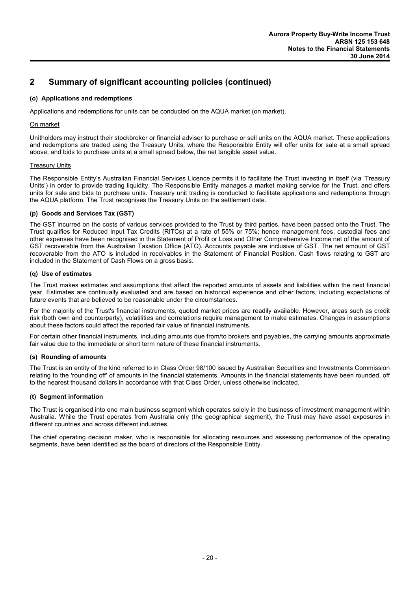#### **(o) Applications and redemptions**

Applications and redemptions for units can be conducted on the AQUA market (on market).

#### On market

Unitholders may instruct their stockbroker or financial adviser to purchase or sell units on the AQUA market. These applications and redemptions are traded using the Treasury Units, where the Responsible Entity will offer units for sale at a small spread above, and bids to purchase units at a small spread below, the net tangible asset value.

#### Treasury Units

The Responsible Entity's Australian Financial Services Licence permits it to facilitate the Trust investing in itself (via 'Treasury Units') in order to provide trading liquidity. The Responsible Entity manages a market making service for the Trust, and offers units for sale and bids to purchase units. Treasury unit trading is conducted to facilitate applications and redemptions through the AQUA platform. The Trust recognises the Treasury Units on the settlement date.

#### **(p) Goods and Services Tax (GST)**

The GST incurred on the costs of various services provided to the Trust by third parties, have been passed onto the Trust. The Trust qualifies for Reduced Input Tax Credits (RITCs) at a rate of 55% or 75%; hence management fees, custodial fees and other expenses have been recognised in the Statement of Profit or Loss and Other Comprehensive Income net of the amount of GST recoverable from the Australian Taxation Office (ATO). Accounts payable are inclusive of GST. The net amount of GST recoverable from the ATO is included in receivables in the Statement of Financial Position. Cash flows relating to GST are included in the Statement of Cash Flows on a gross basis.

#### **(q) Use of estimates**

The Trust makes estimates and assumptions that affect the reported amounts of assets and liabilities within the next financial year. Estimates are continually evaluated and are based on historical experience and other factors, including expectations of future events that are believed to be reasonable under the circumstances.

For the majority of the Trust's financial instruments, quoted market prices are readily available. However, areas such as credit risk (both own and counterparty), volatilities and correlations require management to make estimates. Changes in assumptions about these factors could affect the reported fair value of financial instruments.

For certain other financial instruments, including amounts due from/to brokers and payables, the carrying amounts approximate fair value due to the immediate or short term nature of these financial instruments.

#### **(s) Rounding of amounts**

The Trust is an entity of the kind referred to in Class Order 98/100 issued by Australian Securities and Investments Commission relating to the 'rounding off' of amounts in the financial statements. Amounts in the financial statements have been rounded, off to the nearest thousand dollars in accordance with that Class Order, unless otherwise indicated.

#### **(t) Segment information**

The Trust is organised into one main business segment which operates solely in the business of investment management within Australia. While the Trust operates from Australia only (the geographical segment), the Trust may have asset exposures in different countries and across different industries.

The chief operating decision maker, who is responsible for allocating resources and assessing performance of the operating segments, have been identified as the board of directors of the Responsible Entity.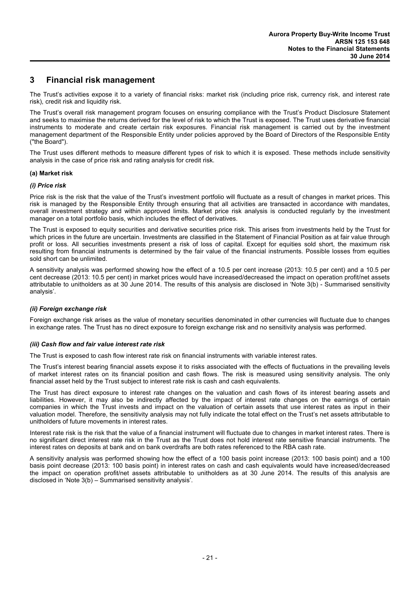## **3 Financial risk management**

The Trust's activities expose it to a variety of financial risks: market risk (including price risk, currency risk, and interest rate risk), credit risk and liquidity risk.

The Trust's overall risk management program focuses on ensuring compliance with the Trust's Product Disclosure Statement and seeks to maximise the returns derived for the level of risk to which the Trust is exposed. The Trust uses derivative financial instruments to moderate and create certain risk exposures. Financial risk management is carried out by the investment management department of the Responsible Entity under policies approved by the Board of Directors of the Responsible Entity ("the Board").

The Trust uses different methods to measure different types of risk to which it is exposed. These methods include sensitivity analysis in the case of price risk and rating analysis for credit risk.

#### **(a) Market risk**

#### *(i) Price risk*

Price risk is the risk that the value of the Trust's investment portfolio will fluctuate as a result of changes in market prices. This risk is managed by the Responsible Entity through ensuring that all activities are transacted in accordance with mandates, overall investment strategy and within approved limits. Market price risk analysis is conducted regularly by the investment manager on a total portfolio basis, which includes the effect of derivatives.

The Trust is exposed to equity securities and derivative securities price risk. This arises from investments held by the Trust for which prices in the future are uncertain. Investments are classified in the Statement of Financial Position as at fair value through profit or loss. All securities investments present a risk of loss of capital. Except for equities sold short, the maximum risk resulting from financial instruments is determined by the fair value of the financial instruments. Possible losses from equities sold short can be unlimited.

A sensitivity analysis was performed showing how the effect of a 10.5 per cent increase (2013: 10.5 per cent) and a 10.5 per cent decrease (2013: 10.5 per cent) in market prices would have increased/decreased the impact on operation profit/net assets attributable to unitholders as at 30 June 2014. The results of this analysis are disclosed in 'Note 3(b) - Summarised sensitivity analysis'.

#### *(ii) Foreign exchange risk*

Foreign exchange risk arises as the value of monetary securities denominated in other currencies will fluctuate due to changes in exchange rates. The Trust has no direct exposure to foreign exchange risk and no sensitivity analysis was performed.

#### *(iii) Cash flow and fair value interest rate risk*

The Trust is exposed to cash flow interest rate risk on financial instruments with variable interest rates.

The Trust's interest bearing financial assets expose it to risks associated with the effects of fluctuations in the prevailing levels of market interest rates on its financial position and cash flows. The risk is measured using sensitivity analysis. The only financial asset held by the Trust subject to interest rate risk is cash and cash equivalents.

The Trust has direct exposure to interest rate changes on the valuation and cash flows of its interest bearing assets and liabilities. However, it may also be indirectly affected by the impact of interest rate changes on the earnings of certain companies in which the Trust invests and impact on the valuation of certain assets that use interest rates as input in their valuation model. Therefore, the sensitivity analysis may not fully indicate the total effect on the Trust's net assets attributable to unitholders of future movements in interest rates.

Interest rate risk is the risk that the value of a financial instrument will fluctuate due to changes in market interest rates. There is no significant direct interest rate risk in the Trust as the Trust does not hold interest rate sensitive financial instruments. The interest rates on deposits at bank and on bank overdrafts are both rates referenced to the RBA cash rate.

A sensitivity analysis was performed showing how the effect of a 100 basis point increase (2013: 100 basis point) and a 100 basis point decrease (2013: 100 basis point) in interest rates on cash and cash equivalents would have increased/decreased the impact on operation profit/net assets attributable to unitholders as at 30 June 2014. The results of this analysis are disclosed in 'Note 3(b) – Summarised sensitivity analysis'.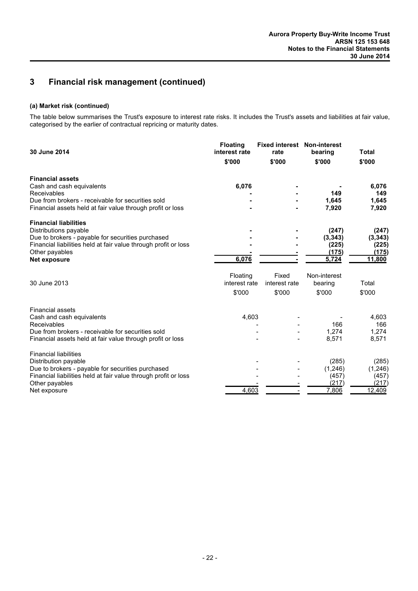#### **(a) Market risk (continued)**

The table below summarises the Trust's exposure to interest rate risks. It includes the Trust's assets and liabilities at fair value, categorised by the earlier of contractual repricing or maturity dates.

| 30 June 2014                                                                                                         | <b>Floating</b><br>interest rate<br>\$'000 | <b>Fixed interest</b><br>rate<br>\$'000 | <b>Non-interest</b><br>bearing<br>\$'000 | <b>Total</b><br>\$'000 |
|----------------------------------------------------------------------------------------------------------------------|--------------------------------------------|-----------------------------------------|------------------------------------------|------------------------|
| <b>Financial assets</b>                                                                                              |                                            |                                         |                                          |                        |
| Cash and cash equivalents                                                                                            | 6,076                                      |                                         | 149                                      | 6.076                  |
| Receivables<br>Due from brokers - receivable for securities sold                                                     |                                            |                                         | 1,645                                    | 149<br>1,645           |
| Financial assets held at fair value through profit or loss                                                           |                                            |                                         | 7,920                                    | 7,920                  |
| <b>Financial liabilities</b>                                                                                         |                                            |                                         |                                          |                        |
| Distributions payable                                                                                                |                                            |                                         | (247)                                    | (247)                  |
| Due to brokers - payable for securities purchased<br>Financial liabilities held at fair value through profit or loss |                                            |                                         | (3, 343)<br>(225)                        | (3, 343)<br>(225)      |
| Other payables                                                                                                       |                                            |                                         | (175)                                    | (175)                  |
| Net exposure                                                                                                         | 6,076                                      |                                         | 5,724                                    | 11,800                 |
| 30 June 2013                                                                                                         | Floating<br>interest rate                  | Fixed<br>interest rate                  | Non-interest<br>bearing                  | Total                  |
|                                                                                                                      | \$'000                                     | \$'000                                  | \$'000                                   | \$'000                 |
| <b>Financial assets</b>                                                                                              |                                            |                                         |                                          |                        |
| Cash and cash equivalents                                                                                            | 4,603                                      |                                         |                                          | 4,603                  |
| Receivables                                                                                                          |                                            |                                         | 166                                      | 166                    |
| Due from brokers - receivable for securities sold<br>Financial assets held at fair value through profit or loss      |                                            |                                         | 1.274<br>8,571                           | 1.274<br>8,571         |
|                                                                                                                      |                                            |                                         |                                          |                        |
| <b>Financial liabilities</b>                                                                                         |                                            |                                         |                                          |                        |
| Distribution payable                                                                                                 |                                            |                                         | (285)                                    | (285)                  |
| Due to brokers - payable for securities purchased                                                                    |                                            |                                         | (1,246)                                  | (1,246)                |
| Financial liabilities held at fair value through profit or loss                                                      |                                            |                                         | (457)                                    | (457)                  |
| Other payables<br>Net exposure                                                                                       | 4,603                                      |                                         | (217)<br>7,806                           | (217)<br>12,409        |
|                                                                                                                      |                                            |                                         |                                          |                        |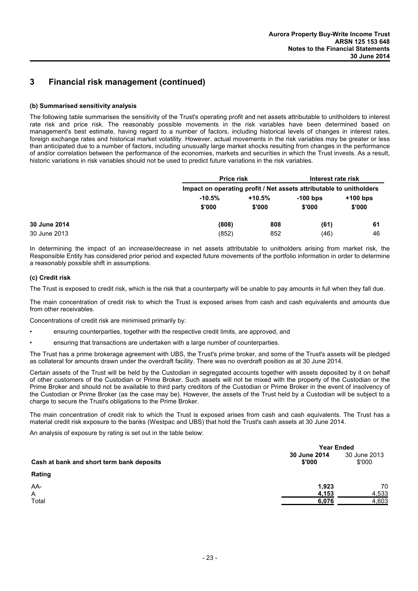#### **(b) Summarised sensitivity analysis**

The following table summarises the sensitivity of the Trust's operating profit and net assets attributable to unitholders to interest rate risk and price risk. The reasonably possible movements in the risk variables have been determined based on management's best estimate, having regard to a number of factors, including historical levels of changes in interest rates, foreign exchange rates and historical market volatility. However, actual movements in the risk variables may be greater or less than anticipated due to a number of factors, including unusually large market shocks resulting from changes in the performance of and/or correlation between the performance of the economies, markets and securities in which the Trust invests. As a result, historic variations in risk variables should not be used to predict future variations in the risk variables.

|              |          | <b>Price risk</b>                                                   |            | Interest rate risk |  |
|--------------|----------|---------------------------------------------------------------------|------------|--------------------|--|
|              |          | Impact on operating profit / Net assets attributable to unitholders |            |                    |  |
|              | $-10.5%$ | $+10.5%$                                                            | $-100$ bps | $+100$ bps         |  |
|              | \$'000   | \$'000                                                              | \$'000     | \$'000             |  |
| 30 June 2014 | (808)    | 808                                                                 | (61)       | 61                 |  |
| 30 June 2013 | (852)    | 852                                                                 | (46)       | 46                 |  |

In determining the impact of an increase/decrease in net assets attributable to unitholders arising from market risk, the Responsible Entity has considered prior period and expected future movements of the portfolio information in order to determine a reasonably possible shift in assumptions.

#### **(c) Credit risk**

The Trust is exposed to credit risk, which is the risk that a counterparty will be unable to pay amounts in full when they fall due.

The main concentration of credit risk to which the Trust is exposed arises from cash and cash equivalents and amounts due from other receivables.

Concentrations of credit risk are minimised primarily by:

- ensuring counterparties, together with the respective credit limits, are approved, and
- ensuring that transactions are undertaken with a large number of counterparties.

The Trust has a prime brokerage agreement with UBS, the Trust's prime broker, and some of the Trust's assets will be pledged as collateral for amounts drawn under the overdraft facility. There was no overdraft position as at 30 June 2014.

Certain assets of the Trust will be held by the Custodian in segregated accounts together with assets deposited by it on behalf of other customers of the Custodian or Prime Broker. Such assets will not be mixed with the property of the Custodian or the Prime Broker and should not be available to third party creditors of the Custodian or Prime Broker in the event of insolvency of the Custodian or Prime Broker (as the case may be). However, the assets of the Trust held by a Custodian will be subject to a charge to secure the Trust's obligations to the Prime Broker.

The main concentration of credit risk to which the Trust is exposed arises from cash and cash equivalents. The Trust has a material credit risk exposure to the banks (Westpac and UBS) that hold the Trust's cash assets at 30 June 2014.

An analysis of exposure by rating is set out in the table below:

|                                           | <b>Year Ended</b>             |                        |  |
|-------------------------------------------|-------------------------------|------------------------|--|
| Cash at bank and short term bank deposits | <b>30 June 2014</b><br>\$'000 | 30 June 2013<br>\$'000 |  |
| Rating                                    |                               |                        |  |
| AA-                                       | 1,923                         | 70                     |  |
| A                                         | 4,153                         | 4,533                  |  |
| Total                                     | 6,076                         | 4,603                  |  |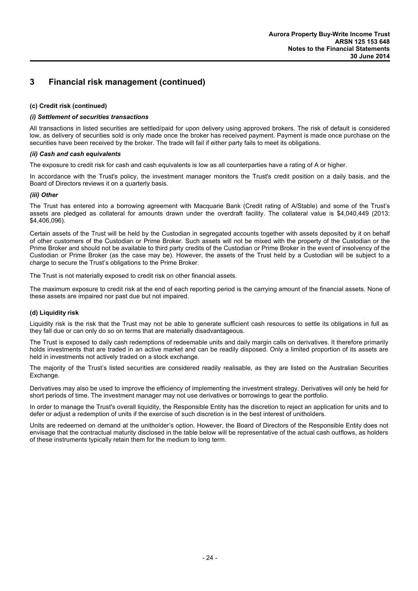#### **(c) Credit risk (continued)**

#### *(i) Settlement of securities transactions*

All transactions in listed securities are settled/paid for upon delivery using approved brokers. The risk of default is considered low, as delivery of securities sold is only made once the broker has received payment. Payment is made once purchase on the securities have been received by the broker. The trade will fail if either party fails to meet its obligations.

#### *(ii) Cash and cash equivalents*

The exposure to credit risk for cash and cash equivalents is low as all counterparties have a rating of A or higher.

In accordance with the Trust's policy, the investment manager monitors the Trust's credit position on a daily basis, and the Board of Directors reviews it on a quarterly basis.

#### *(iii) Other*

The Trust has entered into a borrowing agreement with Macquarie Bank (Credit rating of A/Stable) and some of the Trust's assets are pledged as collateral for amounts drawn under the overdraft facility. The collateral value is \$4,040,449 (2013: \$4,406,096).

Certain assets of the Trust will be held by the Custodian in segregated accounts together with assets deposited by it on behalf of other customers of the Custodian or Prime Broker. Such assets will not be mixed with the property of the Custodian or the Prime Broker and should not be available to third party credits of the Custodian or Prime Broker in the event of insolvency of the Custodian or Prime Broker (as the case may be). However, the assets of the Trust held by a Custodian will be subject to a charge to secure the Trust's obligations to the Prime Broker.

The Trust is not materially exposed to credit risk on other financial assets.

The maximum exposure to credit risk at the end of each reporting period is the carrying amount of the financial assets. None of these assets are impaired nor past due but not impaired.

#### **(d) Liquidity risk**

Liquidity risk is the risk that the Trust may not be able to generate sufficient cash resources to settle its obligations in full as they fall due or can only do so on terms that are materially disadvantageous.

The Trust is exposed to daily cash redemptions of redeemable units and daily margin calls on derivatives. It therefore primarily holds investments that are traded in an active market and can be readily disposed. Only a limited proportion of its assets are held in investments not actively traded on a stock exchange.

The majority of the Trust's listed securities are considered readily realisable, as they are listed on the Australian Securities Exchange.

Derivatives may also be used to improve the efficiency of implementing the investment strategy. Derivatives will only be held for short periods of time. The investment manager may not use derivatives or borrowings to gear the portfolio.

In order to manage the Trust's overall liquidity, the Responsible Entity has the discretion to reject an application for units and to defer or adjust a redemption of units if the exercise of such discretion is in the best interest of unitholders.

Units are redeemed on demand at the unitholder's option. However, the Board of Directors of the Responsible Entity does not envisage that the contractual maturity disclosed in the table below will be representative of the actual cash outflows, as holders of these instruments typically retain them for the medium to long term.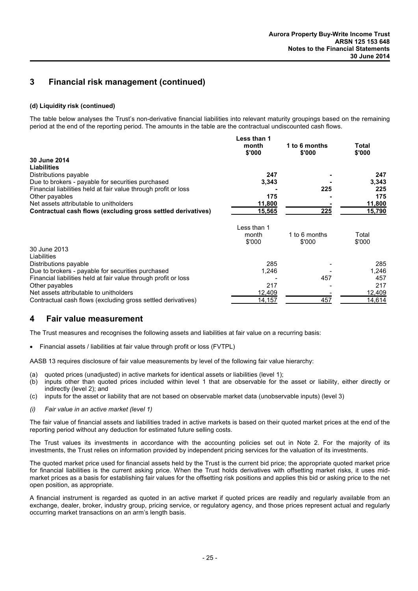#### **(d) Liquidity risk (continued)**

The table below analyses the Trust's non-derivative financial liabilities into relevant maturity groupings based on the remaining period at the end of the reporting period. The amounts in the table are the contractual undiscounted cash flows.

|                                                                 | Less than 1<br>month<br>\$'000 | 1 to 6 months<br>\$'000 | <b>Total</b><br>\$'000 |
|-----------------------------------------------------------------|--------------------------------|-------------------------|------------------------|
| 30 June 2014                                                    |                                |                         |                        |
| Liabilities                                                     |                                |                         |                        |
| Distributions payable                                           | 247                            |                         | 247                    |
| Due to brokers - payable for securities purchased               | 3,343                          |                         | 3,343                  |
| Financial liabilities held at fair value through profit or loss |                                | 225                     | 225                    |
| Other payables                                                  | 175                            |                         | 175                    |
| Net assets attributable to unitholders                          | <u>11,800</u>                  |                         | 11,800                 |
| Contractual cash flows (excluding gross settled derivatives)    | 15,565                         | 225                     | 15,790                 |
|                                                                 | Less than 1                    |                         |                        |
|                                                                 | month                          | 1 to 6 months           | Total                  |
|                                                                 | \$'000                         | \$'000                  | \$'000                 |
| 30 June 2013                                                    |                                |                         |                        |
| Liabilities                                                     |                                |                         |                        |
| Distributions payable                                           | 285                            |                         | 285                    |
| Due to brokers - payable for securities purchased               | 1,246                          |                         | 1,246                  |
| Financial liabilities held at fair value through profit or loss |                                | 457                     | 457                    |
| Other payables                                                  | 217                            |                         | 217                    |
| Net assets attributable to unitholders                          | 12,409                         |                         | 12,409                 |
| Contractual cash flows (excluding gross settled derivatives)    | 14,157                         | 457                     | 14,614                 |

### **4 Fair value measurement**

The Trust measures and recognises the following assets and liabilities at fair value on a recurring basis:

Financial assets / liabilities at fair value through profit or loss (FVTPL)

AASB 13 requires disclosure of fair value measurements by level of the following fair value hierarchy:

- (a) quoted prices (unadjusted) in active markets for identical assets or liabilities (level 1);
- (b) inputs other than quoted prices included within level 1 that are observable for the asset or liability, either directly or indirectly (level 2); and
- (c) inputs for the asset or liability that are not based on observable market data (unobservable inputs) (level 3)

#### *(i) Fair value in an active market (level 1)*

The fair value of financial assets and liabilities traded in active markets is based on their quoted market prices at the end of the reporting period without any deduction for estimated future selling costs.

The Trust values its investments in accordance with the accounting policies set out in Note 2. For the majority of its investments, the Trust relies on information provided by independent pricing services for the valuation of its investments.

The quoted market price used for financial assets held by the Trust is the current bid price; the appropriate quoted market price for financial liabilities is the current asking price. When the Trust holds derivatives with offsetting market risks, it uses midmarket prices as a basis for establishing fair values for the offsetting risk positions and applies this bid or asking price to the net open position, as appropriate.

A financial instrument is regarded as quoted in an active market if quoted prices are readily and regularly available from an exchange, dealer, broker, industry group, pricing service, or regulatory agency, and those prices represent actual and regularly occurring market transactions on an arm's length basis.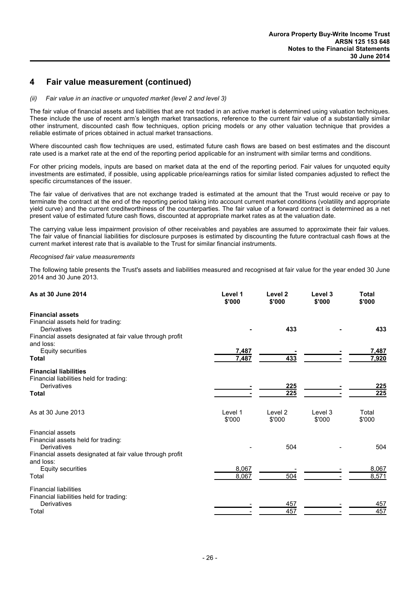## **4 Fair value measurement (continued)**

*(ii) Fair value in an inactive or unquoted market (level 2 and level 3)*

The fair value of financial assets and liabilities that are not traded in an active market is determined using valuation techniques. These include the use of recent arm's length market transactions, reference to the current fair value of a substantially similar other instrument, discounted cash flow techniques, option pricing models or any other valuation technique that provides a reliable estimate of prices obtained in actual market transactions.

Where discounted cash flow techniques are used, estimated future cash flows are based on best estimates and the discount rate used is a market rate at the end of the reporting period applicable for an instrument with similar terms and conditions.

For other pricing models, inputs are based on market data at the end of the reporting period. Fair values for unquoted equity investments are estimated, if possible, using applicable price/earnings ratios for similar listed companies adjusted to reflect the specific circumstances of the issuer.

The fair value of derivatives that are not exchange traded is estimated at the amount that the Trust would receive or pay to terminate the contract at the end of the reporting period taking into account current market conditions (volatility and appropriate yield curve) and the current creditworthiness of the counterparties. The fair value of a forward contract is determined as a net present value of estimated future cash flows, discounted at appropriate market rates as at the valuation date.

The carrying value less impairment provision of other receivables and payables are assumed to approximate their fair values. The fair value of financial liabilities for disclosure purposes is estimated by discounting the future contractual cash flows at the current market interest rate that is available to the Trust for similar financial instruments.

#### *Recognised fair value measurements*

The following table presents the Trust's assets and liabilities measured and recognised at fair value for the year ended 30 June 2014 and 30 June 2013.

| As at 30 June 2014                                                                                                                       | Level 1<br>\$'000 | Level <sub>2</sub><br>\$'000 | Level 3<br>\$'000 | <b>Total</b><br>\$'000 |
|------------------------------------------------------------------------------------------------------------------------------------------|-------------------|------------------------------|-------------------|------------------------|
| <b>Financial assets</b><br>Financial assets held for trading:<br>Derivatives                                                             |                   | 433                          |                   | 433                    |
| Financial assets designated at fair value through profit<br>and loss:<br><b>Equity securities</b><br><b>Total</b>                        | 7,487<br>7,487    | 433                          |                   | 7,487<br>7,920         |
| <b>Financial liabilities</b><br>Financial liabilities held for trading:<br>Derivatives                                                   |                   | <u>225</u>                   |                   | 225                    |
| Total                                                                                                                                    |                   | 225                          |                   | 225                    |
| As at 30 June 2013                                                                                                                       | Level 1<br>\$'000 | Level <sub>2</sub><br>\$'000 | Level 3<br>\$'000 | Total<br>\$'000        |
| <b>Financial assets</b><br>Financial assets held for trading:<br>Derivatives<br>Financial assets designated at fair value through profit |                   | 504                          |                   | 504                    |
| and loss:<br><b>Equity securities</b><br>Total                                                                                           | 8,067<br>8,067    | 504                          |                   | 8,067<br>8,571         |
| <b>Financial liabilities</b><br>Financial liabilities held for trading:<br>Derivatives<br>Total                                          |                   | <u>457</u><br>457            |                   | 457<br>457             |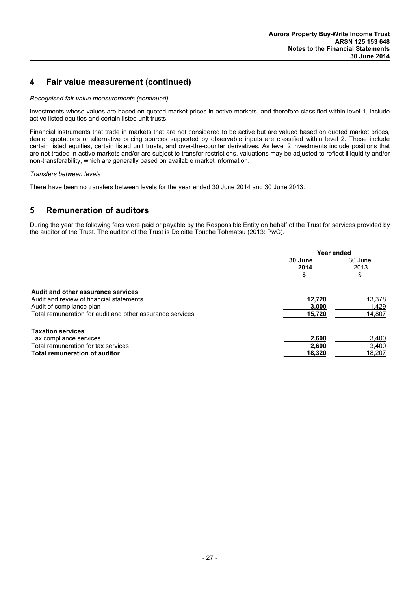## **4 Fair value measurement (continued)**

#### *Recognised fair value measurements (continued)*

Investments whose values are based on quoted market prices in active markets, and therefore classified within level 1, include active listed equities and certain listed unit trusts.

Financial instruments that trade in markets that are not considered to be active but are valued based on quoted market prices, dealer quotations or alternative pricing sources supported by observable inputs are classified within level 2. These include certain listed equities, certain listed unit trusts, and over-the-counter derivatives. As level 2 investments include positions that are not traded in active markets and/or are subject to transfer restrictions, valuations may be adjusted to reflect illiquidity and/or non-transferability, which are generally based on available market information.

#### *Transfers between levels*

There have been no transfers between levels for the year ended 30 June 2014 and 30 June 2013.

## **5 Remuneration of auditors**

During the year the following fees were paid or payable by the Responsible Entity on behalf of the Trust for services provided by the auditor of the Trust. The auditor of the Trust is Deloitte Touche Tohmatsu (2013: PwC).

|                                                                                                                                                                         | Year ended                |                           |  |
|-------------------------------------------------------------------------------------------------------------------------------------------------------------------------|---------------------------|---------------------------|--|
|                                                                                                                                                                         | 30 June<br>2014<br>\$     | 30 June<br>2013<br>\$     |  |
| Audit and other assurance services<br>Audit and review of financial statements<br>Audit of compliance plan<br>Total remuneration for audit and other assurance services | 12.720<br>3,000<br>15,720 | 13.378<br>1,429<br>14,807 |  |
| <b>Taxation services</b><br>Tax compliance services<br>Total remuneration for tax services<br><b>Total remuneration of auditor</b>                                      | 2,600<br>2.600<br>18,320  | 3,400<br>3,400<br>18,207  |  |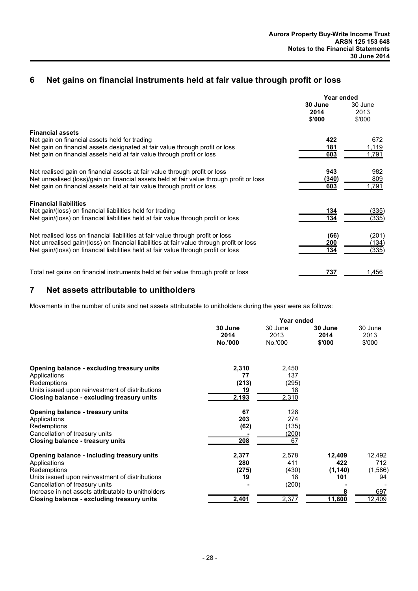## **6 Net gains on financial instruments held at fair value through profit or loss**

|                                                                                          | Year ended                |                           |
|------------------------------------------------------------------------------------------|---------------------------|---------------------------|
|                                                                                          | 30 June<br>2014<br>\$'000 | 30 June<br>2013<br>\$'000 |
| <b>Financial assets</b>                                                                  |                           |                           |
| Net gain on financial assets held for trading                                            | 422                       | 672                       |
| Net gain on financial assets designated at fair value through profit or loss             | 181                       | 1,119                     |
| Net gain on financial assets held at fair value through profit or loss                   | 603                       | 1,791                     |
| Net realised gain on financial assets at fair value through profit or loss               | 943                       | 982                       |
| Net unrealised (loss)/gain on financial assets held at fair value through profit or loss | (340)                     | 809                       |
| Net gain on financial assets held at fair value through profit or loss                   | 603                       | 1,791                     |
| <b>Financial liabilities</b>                                                             |                           |                           |
| Net gain/(loss) on financial liabilities held for trading                                | <u> 134</u>               | (335)                     |
| Net gain/(loss) on financial liabilities held at fair value through profit or loss       | 134                       | (335)                     |
| Net realised loss on financial liabilities at fair value through profit or loss          | (66)                      | (201)                     |
| Net unrealised gain/(loss) on financial liabilities at fair value through profit or loss | <u>200</u>                | (134)                     |
| Net gain/(loss) on financial liabilities held at fair value through profit or loss       | 134                       | (335)                     |
| Total net gains on financial instruments held at fair value through profit or loss       | 737                       | 1,456                     |

## **7 Net assets attributable to unitholders**

Movements in the number of units and net assets attributable to unitholders during the year were as follows:

|                                                                | Year ended                        |                            |                           |                           |
|----------------------------------------------------------------|-----------------------------------|----------------------------|---------------------------|---------------------------|
|                                                                | 30 June<br>2014<br><b>No.'000</b> | 30 June<br>2013<br>No.'000 | 30 June<br>2014<br>\$'000 | 30 June<br>2013<br>\$'000 |
| Opening balance - excluding treasury units<br>Applications     | 2,310<br>77                       | 2,450<br>137               |                           |                           |
| Redemptions<br>Units issued upon reinvestment of distributions | (213)<br><u> 19</u>               | (295)<br>18                |                           |                           |
| Closing balance - excluding treasury units                     | 2,193                             | 2,310                      |                           |                           |
| Opening balance - treasury units                               | 67                                | 128                        |                           |                           |
| Applications<br>Redemptions                                    | 203<br>(62)                       | 274<br>(135)               |                           |                           |
| Cancellation of treasury units                                 |                                   | <u>(200)</u>               |                           |                           |
| <b>Closing balance - treasury units</b>                        | 208                               | 67                         |                           |                           |
| Opening balance - including treasury units                     | 2,377                             | 2,578                      | 12,409                    | 12,492                    |
| Applications                                                   | 280                               | 411                        | 422                       | 712                       |
| Redemptions                                                    | (275)                             | (430)                      | (1, 140)                  | (1,586)                   |
| Units issued upon reinvestment of distributions                | 19                                | 18                         | 101                       | 94                        |
| Cancellation of treasury units                                 |                                   | (200)                      |                           |                           |
| Increase in net assets attributable to unitholders             |                                   |                            | 8                         | 697                       |
| Closing balance - excluding treasury units                     | 2,401                             | 2,377                      | 11,800                    | 12,409                    |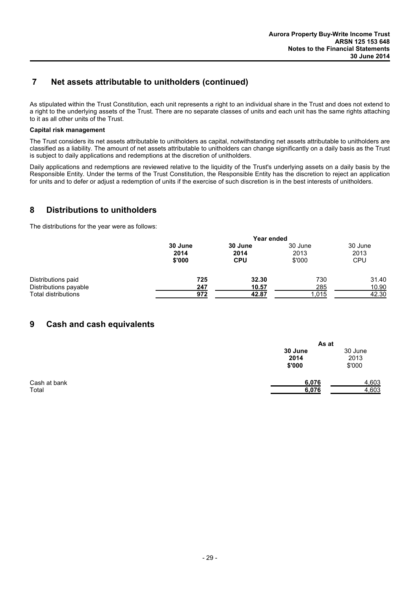## **7 Net assets attributable to unitholders (continued)**

As stipulated within the Trust Constitution, each unit represents a right to an individual share in the Trust and does not extend to a right to the underlying assets of the Trust. There are no separate classes of units and each unit has the same rights attaching to it as all other units of the Trust.

#### **Capital risk management**

The Trust considers its net assets attributable to unitholders as capital, notwithstanding net assets attributable to unitholders are classified as a liability. The amount of net assets attributable to unitholders can change significantly on a daily basis as the Trust is subject to daily applications and redemptions at the discretion of unitholders.

Daily applications and redemptions are reviewed relative to the liquidity of the Trust's underlying assets on a daily basis by the Responsible Entity. Under the terms of the Trust Constitution, the Responsible Entity has the discretion to reject an application for units and to defer or adjust a redemption of units if the exercise of such discretion is in the best interests of unitholders.

## **8 Distributions to unitholders**

The distributions for the year were as follows:

|                       | Year ended                |                               |                           |                               |
|-----------------------|---------------------------|-------------------------------|---------------------------|-------------------------------|
|                       | 30 June<br>2014<br>\$'000 | 30 June<br>2014<br><b>CPU</b> | 30 June<br>2013<br>\$'000 | 30 June<br>2013<br><b>CPU</b> |
| Distributions paid    | 725                       | 32.30                         | 730                       | 31.40                         |
| Distributions payable | 247                       | 10.57                         | 285                       | <u>10.90</u>                  |
| Total distributions   | 972                       | 42.87                         | 1,015                     | 42.30                         |

## **9 Cash and cash equivalents**

|                       |                           | As at                     |  |  |
|-----------------------|---------------------------|---------------------------|--|--|
|                       | 30 June<br>2014<br>\$'000 | 30 June<br>2013<br>\$'000 |  |  |
| Cash at bank<br>Total | 6,076<br>6,076            | 4,603<br>4,603            |  |  |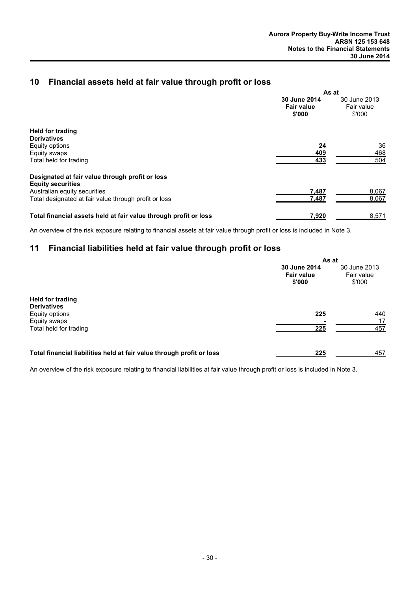|                                                                             | As at                                       |                                      |
|-----------------------------------------------------------------------------|---------------------------------------------|--------------------------------------|
|                                                                             | 30 June 2014<br><b>Fair value</b><br>\$'000 | 30 June 2013<br>Fair value<br>\$'000 |
| <b>Held for trading</b><br><b>Derivatives</b>                               |                                             |                                      |
| Equity options                                                              | 24                                          | 36                                   |
| Equity swaps                                                                | 409                                         | 468                                  |
| Total held for trading                                                      | 433                                         | 504                                  |
| Designated at fair value through profit or loss<br><b>Equity securities</b> |                                             |                                      |
| Australian equity securities                                                | 7,487                                       | 8,067                                |
| Total designated at fair value through profit or loss                       | 7,487                                       | 8,067                                |
| Total financial assets held at fair value through profit or loss            | 7,920                                       | 8,571                                |

## **10 Financial assets held at fair value through profit or loss**

An overview of the risk exposure relating to financial assets at fair value through profit or loss is included in Note 3.

## **11 Financial liabilities held at fair value through profit or loss**

|                                                                       | As at                                       |                                      |
|-----------------------------------------------------------------------|---------------------------------------------|--------------------------------------|
|                                                                       | 30 June 2014<br><b>Fair value</b><br>\$'000 | 30 June 2013<br>Fair value<br>\$'000 |
| <b>Held for trading</b><br><b>Derivatives</b>                         |                                             |                                      |
| Equity options                                                        | 225                                         | 440                                  |
| Equity swaps                                                          |                                             | 17                                   |
| Total held for trading                                                | 225                                         | 457                                  |
| Total financial liabilities held at fair value through profit or loss | 225                                         | 457                                  |

An overview of the risk exposure relating to financial liabilities at fair value through profit or loss is included in Note 3.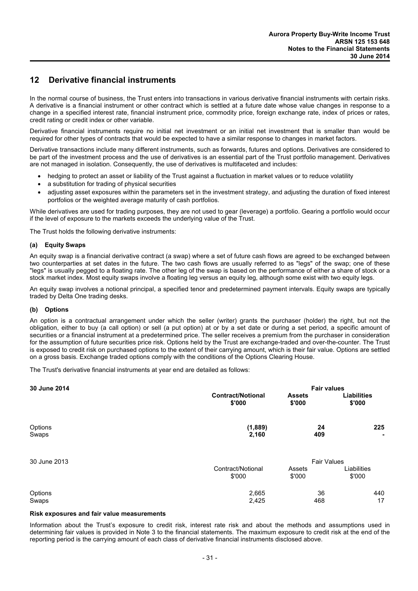## **12 Derivative financial instruments**

In the normal course of business, the Trust enters into transactions in various derivative financial instruments with certain risks. A derivative is a financial instrument or other contract which is settled at a future date whose value changes in response to a change in a specified interest rate, financial instrument price, commodity price, foreign exchange rate, index of prices or rates, credit rating or credit index or other variable.

Derivative financial instruments require no initial net investment or an initial net investment that is smaller than would be required for other types of contracts that would be expected to have a similar response to changes in market factors.

Derivative transactions include many different instruments, such as forwards, futures and options. Derivatives are considered to be part of the investment process and the use of derivatives is an essential part of the Trust portfolio management. Derivatives are not managed in isolation. Consequently, the use of derivatives is multifaceted and includes:

- hedging to protect an asset or liability of the Trust against a fluctuation in market values or to reduce volatility
- a substitution for trading of physical securities
- adjusting asset exposures within the parameters set in the investment strategy, and adjusting the duration of fixed interest portfolios or the weighted average maturity of cash portfolios.

While derivatives are used for trading purposes, they are not used to gear (leverage) a portfolio. Gearing a portfolio would occur if the level of exposure to the markets exceeds the underlying value of the Trust.

The Trust holds the following derivative instruments:

#### **(a) Equity Swaps**

An equity swap is a financial derivative contract (a swap) where a set of future cash flows are agreed to be exchanged between two counterparties at set dates in the future. The two cash flows are usually referred to as "legs" of the swap; one of these "legs" is usually pegged to a floating rate. The other leg of the swap is based on the performance of either a share of stock or a stock market index. Most equity swaps involve a floating leg versus an equity leg, although some exist with two equity legs.

An equity swap involves a notional principal, a specified tenor and predetermined payment intervals. Equity swaps are typically traded by Delta One trading desks.

#### **(b) Options**

An option is a contractual arrangement under which the seller (writer) grants the purchaser (holder) the right, but not the obligation, either to buy (a call option) or sell (a put option) at or by a set date or during a set period, a specific amount of securities or a financial instrument at a predetermined price. The seller receives a premium from the purchaser in consideration for the assumption of future securities price risk. Options held by the Trust are exchange-traded and over-the-counter. The Trust is exposed to credit risk on purchased options to the extent of their carrying amount, which is their fair value. Options are settled on a gross basis. Exchange traded options comply with the conditions of the Options Clearing House.

The Trust's derivative financial instruments at year end are detailed as follows:

| 30 June 2014 | <b>Contract/Notional</b><br><b>Assets</b><br>\$'000<br>\$'000 |                                        | <b>Fair values</b><br><b>Liabilities</b><br>\$'000 |  |
|--------------|---------------------------------------------------------------|----------------------------------------|----------------------------------------------------|--|
| Options      | (1,889)                                                       | 24                                     | 225                                                |  |
| Swaps        | 2,160                                                         | 409                                    | $\blacksquare$                                     |  |
| 30 June 2013 | Contract/Notional<br>\$'000                                   | <b>Fair Values</b><br>Assets<br>\$'000 | Liabilities<br>\$'000                              |  |
| Options      | 2,665                                                         | 36                                     | 440                                                |  |
| Swaps        | 2,425                                                         | 468                                    | 17                                                 |  |

#### **Risk exposures and fair value measurements**

Information about the Trust's exposure to credit risk, interest rate risk and about the methods and assumptions used in determining fair values is provided in Note 3 to the financial statements. The maximum exposure to credit risk at the end of the reporting period is the carrying amount of each class of derivative financial instruments disclosed above.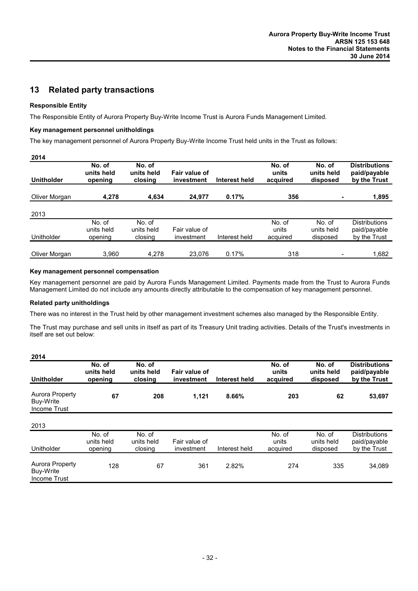## **13 Related party transactions**

#### **Responsible Entity**

The Responsible Entity of Aurora Property Buy-Write Income Trust is Aurora Funds Management Limited.

#### **Key management personnel unitholdings**

The key management personnel of Aurora Property Buy-Write Income Trust held units in the Trust as follows:

| 2014              |                                 |                                 |                             |               |                             |                                  |                                                      |
|-------------------|---------------------------------|---------------------------------|-----------------------------|---------------|-----------------------------|----------------------------------|------------------------------------------------------|
| <b>Unitholder</b> | No. of<br>units held<br>opening | No. of<br>units held<br>closina | Fair value of<br>investment | Interest held | No. of<br>units<br>acquired | No. of<br>units held<br>disposed | <b>Distributions</b><br>paid/payable<br>by the Trust |
| Oliver Morgan     | 4.278                           | 4,634                           | 24.977                      | 0.17%         | 356                         | ۰                                | 1,895                                                |
| 2013              |                                 |                                 |                             |               |                             |                                  |                                                      |
| Unitholder        | No. of<br>units held<br>opening | No. of<br>units held<br>closing | Fair value of<br>investment | Interest held | No. of<br>units<br>acquired | No. of<br>units held<br>disposed | <b>Distributions</b><br>paid/payable<br>by the Trust |
| Oliver Morgan     | 3.960                           | 4,278                           | 23.076                      | 0.17%         | 318                         | $\overline{\phantom{0}}$         | 1,682                                                |

#### **Key management personnel compensation**

Key management personnel are paid by Aurora Funds Management Limited. Payments made from the Trust to Aurora Funds Management Limited do not include any amounts directly attributable to the compensation of key management personnel.

#### **Related party unitholdings**

**2014**

There was no interest in the Trust held by other management investment schemes also managed by the Responsible Entity.

The Trust may purchase and sell units in itself as part of its Treasury Unit trading activities. Details of the Trust's investments in itself are set out below:

| 2014                                                       |                                 |                                 |                             |               |                             |                                  |                                                      |
|------------------------------------------------------------|---------------------------------|---------------------------------|-----------------------------|---------------|-----------------------------|----------------------------------|------------------------------------------------------|
| <b>Unitholder</b>                                          | No. of<br>units held<br>opening | No. of<br>units held<br>closing | Fair value of<br>investment | Interest held | No. of<br>units<br>acquired | No. of<br>units held<br>disposed | <b>Distributions</b><br>paid/payable<br>by the Trust |
| Aurora Property<br>Buy-Write<br>Income Trust               | 67                              | 208                             | 1,121                       | 8.66%         | 203                         | 62                               | 53,697                                               |
| 2013                                                       |                                 |                                 |                             |               |                             |                                  |                                                      |
| Unitholder                                                 | No. of<br>units held<br>opening | No. of<br>units held<br>closing | Fair value of<br>investment | Interest held | No. of<br>units<br>acquired | No. of<br>units held<br>disposed | <b>Distributions</b><br>paid/payable<br>by the Trust |
| <b>Aurora Property</b><br>Buy-Write<br><b>Income Trust</b> | 128                             | 67                              | 361                         | 2.82%         | 274                         | 335                              | 34,089                                               |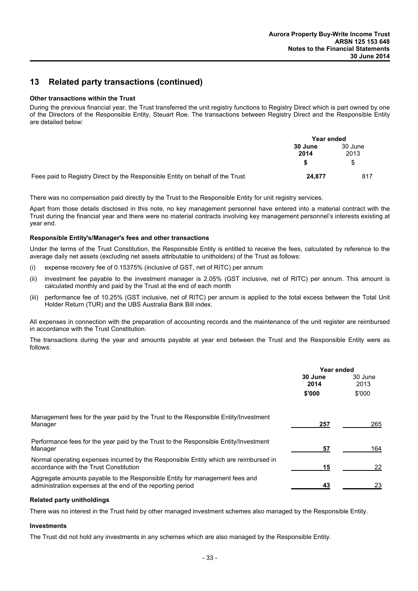## **13 Related party transactions (continued)**

#### **Other transactions within the Trust**

During the previous financial year, the Trust transferred the unit registry functions to Registry Direct which is part owned by one of the Directors of the Responsible Entity, Steuart Roe. The transactions between Registry Direct and the Responsible Entity are detailed below:

|                                                                               | Year ended             |                 |
|-------------------------------------------------------------------------------|------------------------|-----------------|
|                                                                               | <b>30 June</b><br>2014 | 30 June<br>2013 |
|                                                                               |                        | \$              |
| Fees paid to Registry Direct by the Responsible Entity on behalf of the Trust | 24.877                 | 817             |

There was no compensation paid directly by the Trust to the Responsible Entity for unit registry services.

Apart from those details disclosed in this note, no key management personnel have entered into a material contract with the Trust during the financial year and there were no material contracts involving key management personnel's interests existing at year end.

#### **Responsible Entity's/Manager's fees and other transactions**

Under the terms of the Trust Constitution, the Responsible Entity is entitled to receive the fees, calculated by reference to the average daily net assets (excluding net assets attributable to unitholders) of the Trust as follows:

- (i) expense recovery fee of 0.15375% (inclusive of GST, net of RITC) per annum
- (ii) investment fee payable to the investment manager is 2.05% (GST inclusive, net of RITC) per annum. This amount is calculated monthly and paid by the Trust at the end of each month
- (iii) performance fee of 10.25% (GST inclusive, net of RITC) per annum is applied to the total excess between the Total Unit Holder Return (TUR) and the UBS Australia Bank Bill index.

All expenses in connection with the preparation of accounting records and the maintenance of the unit register are reimbursed in accordance with the Trust Constitution.

The transactions during the year and amounts payable at year end between the Trust and the Responsible Entity were as follows:

|                                                                                                                                           | Year ended                |                           |
|-------------------------------------------------------------------------------------------------------------------------------------------|---------------------------|---------------------------|
|                                                                                                                                           | 30 June<br>2014<br>\$'000 | 30 June<br>2013<br>\$'000 |
| Management fees for the year paid by the Trust to the Responsible Entity/Investment<br>Manager                                            | 257                       | 265                       |
| Performance fees for the year paid by the Trust to the Responsible Entity/Investment<br>Manager                                           | 57                        | 164                       |
| Normal operating expenses incurred by the Responsible Entity which are reimbursed in<br>accordance with the Trust Constitution            | 15                        | 22                        |
| Aggregate amounts payable to the Responsible Entity for management fees and<br>administration expenses at the end of the reporting period | 43                        | 23                        |

#### **Related party unitholdings**

There was no interest in the Trust held by other managed investment schemes also managed by the Responsible Entity.

#### **Investments**

The Trust did not hold any investments in any schemes which are also managed by the Responsible Entity.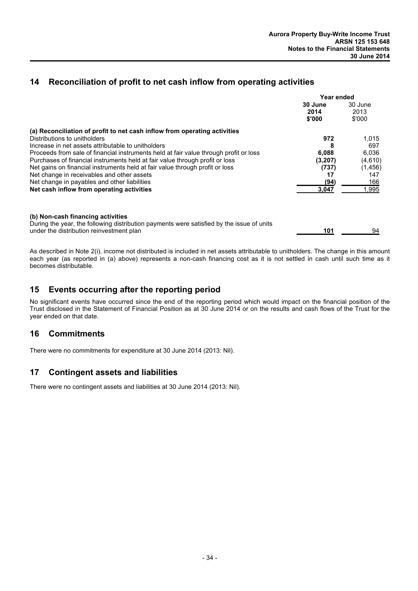## **14 Reconciliation of profit to net cash inflow from operating activities**

|                                                                                                                                       | Year ended                |                           |
|---------------------------------------------------------------------------------------------------------------------------------------|---------------------------|---------------------------|
|                                                                                                                                       | 30 June<br>2014<br>\$'000 | 30 June<br>2013<br>\$'000 |
| (a) Reconciliation of profit to net cash inflow from operating activities                                                             |                           |                           |
| Distributions to unitholders                                                                                                          | 972                       | 1.015                     |
| Increase in net assets attributable to unitholders                                                                                    | 8                         | 697                       |
| Proceeds from sale of financial instruments held at fair value through profit or loss                                                 | 6,088                     | 6,036                     |
| Purchases of financial instruments held at fair value through profit or loss                                                          | (3,207)                   | (4,610)                   |
| Net gains on financial instruments held at fair value through profit or loss                                                          | (737)                     | (1, 456)                  |
| Net change in receivables and other assets                                                                                            | 17                        | 147                       |
| Net change in payables and other liabilities                                                                                          | (94)                      | 166                       |
| Net cash inflow from operating activities                                                                                             | 3,047                     | 1,995                     |
| (b) Non-cash financing activities                                                                                                     |                           |                           |
| During the year, the following distribution payments were satisfied by the issue of units<br>under the distribution reinvestment plan | 101                       | 94                        |

As described in Note 2(i), income not distributed is included in net assets attributable to unitholders. The change in this amount each year (as reported in (a) above) represents a non-cash financing cost as it is not settled in cash until such time as it becomes distributable.

## **15 Events occurring after the reporting period**

No significant events have occurred since the end of the reporting period which would impact on the financial position of the Trust disclosed in the Statement of Financial Position as at 30 June 2014 or on the results and cash flows of the Trust for the year ended on that date.

## **16 Commitments**

There were no commitments for expenditure at 30 June 2014 (2013: Nil).

## **17 Contingent assets and liabilities**

There were no contingent assets and liabilities at 30 June 2014 (2013: Nil).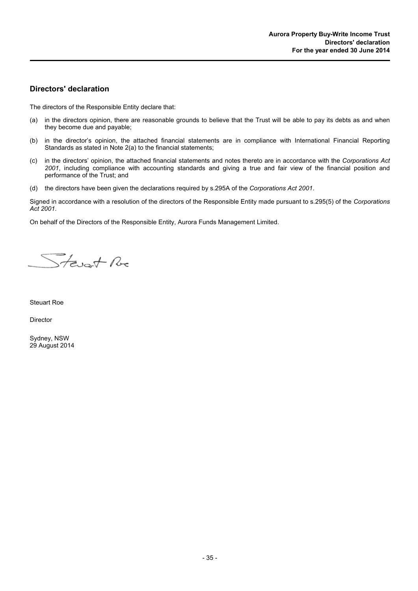## **Directors' declaration**

The directors of the Responsible Entity declare that:

- (a) in the directors opinion, there are reasonable grounds to believe that the Trust will be able to pay its debts as and when they become due and payable;
- (b) in the director's opinion, the attached financial statements are in compliance with International Financial Reporting Standards as stated in Note 2(a) to the financial statements;
- (c) in the directors' opinion, the attached financial statements and notes thereto are in accordance with the *Corporations Act 2001*, including compliance with accounting standards and giving a true and fair view of the financial position and performance of the Trust; and
- (d) the directors have been given the declarations required by s.295A of the *Corporations Act 2001*.

Signed in accordance with a resolution of the directors of the Responsible Entity made pursuant to s.295(5) of the *Corporations Act 2001*.

On behalf of the Directors of the Responsible Entity, Aurora Funds Management Limited.

Stevent Re

Steuart Roe

Director

Sydney, NSW 29 August 2014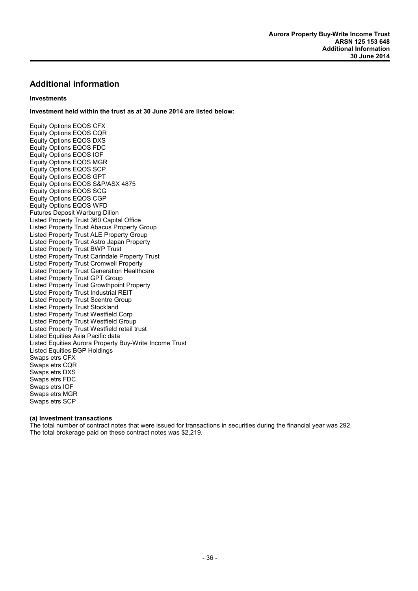## **Additional information**

#### **Investments**

**Investment held within the trust as at 30 June 2014 are listed below:**

Equity Options EQOS CFX Equity Options EQOS CQR Equity Options EQOS DXS Equity Options EQOS FDC Equity Options EQOS IOF Equity Options EQOS MGR Equity Options EQOS SCP Equity Options EQOS GPT Equity Options EQOS S&P/ASX 4875 Equity Options EQOS SCG Equity Options EQOS CGP Equity Options EQOS WFD Futures Deposit Warburg Dillon Listed Property Trust 360 Capital Office Listed Property Trust Abacus Property Group Listed Property Trust ALE Property Group Listed Property Trust Astro Japan Property Listed Property Trust BWP Trust Listed Property Trust Carindale Property Trust Listed Property Trust Cromwell Property Listed Property Trust Generation Healthcare Listed Property Trust GPT Group Listed Property Trust Growthpoint Property Listed Property Trust Industrial REIT Listed Property Trust Scentre Group Listed Property Trust Stockland Listed Property Trust Westfield Corp Listed Property Trust Westfield Group Listed Property Trust Westfield retail trust Listed Equities Asia Pacific data Listed Equities Aurora Property Buy-Write Income Trust Listed Equities BGP Holdings Swaps etrs CFX Swaps etrs CQR Swaps etrs DXS Swaps etrs FDC Swaps etrs IOF Swaps etrs MGR Swaps etrs SCP

#### **(a) Investment transactions**

The total number of contract notes that were issued for transactions in securities during the financial year was 292. The total brokerage paid on these contract notes was \$2,219.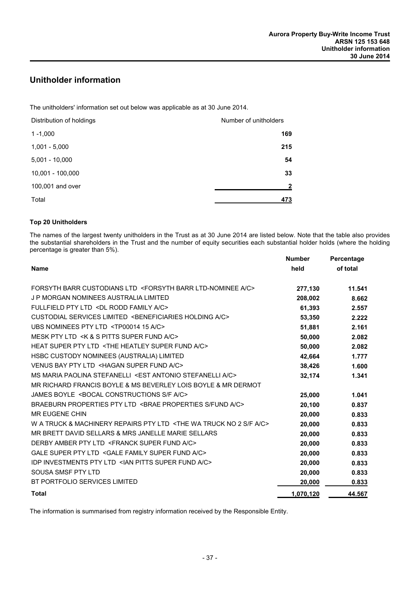## **Unitholder information**

The unitholders' information set out below was applicable as at 30 June 2014.

| Distribution of holdings | Number of unitholders |
|--------------------------|-----------------------|
| $1 - 1,000$              | 169                   |
| $1,001 - 5,000$          | 215                   |
| $5,001 - 10,000$         | 54                    |
| 10,001 - 100,000         | 33                    |
| 100,001 and over         | 2                     |
| Total                    | 473                   |

#### **Top 20 Unitholders**

The names of the largest twenty unitholders in the Trust as at 30 June 2014 are listed below. Note that the table also provides the substantial shareholders in the Trust and the number of equity securities each substantial holder holds (where the holding percentage is greater than 5%).

| <b>Name</b>                                                                                     | <b>Number</b><br>held | Percentage<br>of total |
|-------------------------------------------------------------------------------------------------|-----------------------|------------------------|
| FORSYTH BARR CUSTODIANS LTD <forsyth a="" barr="" c="" ltd-nominee=""></forsyth>                | 277,130               | 11.541                 |
| J P MORGAN NOMINEES AUSTRALIA LIMITED                                                           | 208,002               | 8.662                  |
| FULLFIELD PTY LTD < DL RODD FAMILY A/C>                                                         | 61,393                | 2.557                  |
| CUSTODIAL SERVICES LIMITED <beneficiaries a="" c="" holding=""></beneficiaries>                 | 53,350                | 2.222                  |
| UBS NOMINEES PTY LTD <tp00014 15="" a="" c=""></tp00014>                                        | 51,881                | 2.161                  |
| MESK PTY LTD < K & S PITTS SUPER FUND A/C>                                                      | 50,000                | 2.082                  |
| HEAT SUPER PTY LTD <the a="" c="" fund="" heatley="" super=""></the>                            | 50,000                | 2.082                  |
| HSBC CUSTODY NOMINEES (AUSTRALIA) LIMITED                                                       | 42,664                | 1.777                  |
| VENUS BAY PTY LTD <hagan a="" c="" fund="" super=""></hagan>                                    | 38,426                | 1.600                  |
| MS MARIA PAOLINA STEFANELLI <est a="" antonio="" c="" stefanelli=""></est>                      | 32,174                | 1.341                  |
| MR RICHARD FRANCIS BOYLE & MS BEVERLEY LOIS BOYLE & MR DERMOT                                   |                       |                        |
| JAMES BOYLE <bocal a="" c="" constructions="" f="" s=""></bocal>                                | 25,000                | 1.041                  |
| BRAEBURN PROPERTIES PTY LTD <brae a="" c="" fund="" properties="" s=""></brae>                  | 20,100                | 0.837                  |
| <b>MR EUGENE CHIN</b>                                                                           | 20,000                | 0.833                  |
| W A TRUCK & MACHINERY REPAIRS PTY LTD <the 2="" a="" c="" f="" no="" s="" truck="" wa=""></the> | 20,000                | 0.833                  |
| MR BRETT DAVID SELLARS & MRS JANELLE MARIE SELLARS                                              | 20,000                | 0.833                  |
| DERBY AMBER PTY LTD <franck a="" c="" fund="" super=""></franck>                                | 20,000                | 0.833                  |
| GALE SUPER PTY LTD <gale a="" c="" family="" fund="" super=""></gale>                           | 20,000                | 0.833                  |
| <b>IDP INVESTMENTS PTY LTD <ian a="" c="" fund="" pitts="" super=""></ian></b>                  | 20,000                | 0.833                  |
| <b>SOUSA SMSF PTY LTD</b>                                                                       | 20,000                | 0.833                  |
| BT PORTFOLIO SERVICES LIMITED                                                                   | 20,000                | 0.833                  |
| <b>Total</b>                                                                                    | 1.070.120             | 44.567                 |

The information is summarised from registry information received by the Responsible Entity.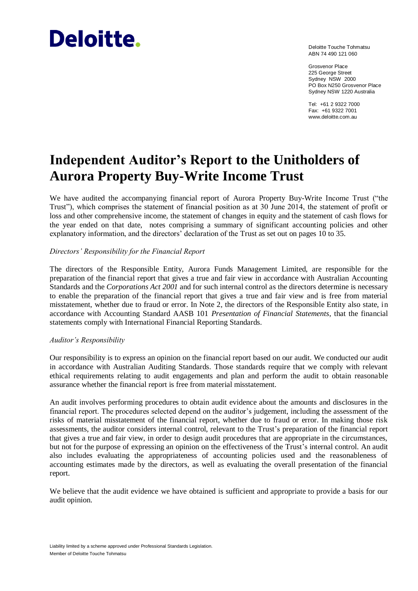# **Deloitte.**

Deloitte Touche Tohmatsu ABN 74 490 121 060

Grosvenor Place 225 George Street Sydney NSW 2000 PO Box N250 Grosvenor Place Sydney NSW 1220 Australia

Tel: +61 2 9322 7000 Fax: +61 9322 7001 www.deloitte.com.au

## **Independent Auditor's Report to the Unitholders of Aurora Property Buy-Write Income Trust**

We have audited the accompanying financial report of Aurora Property Buy-Write Income Trust ("the Trust"), which comprises the statement of financial position as at 30 June 2014, the statement of profit or loss and other comprehensive income, the statement of changes in equity and the statement of cash flows for the year ended on that date, notes comprising a summary of significant accounting policies and other explanatory information, and the directors' declaration of the Trust as set out on pages 10 to 35.

#### *Directors' Responsibility for the Financial Report*

The directors of the Responsible Entity, Aurora Funds Management Limited, are responsible for the preparation of the financial report that gives a true and fair view in accordance with Australian Accounting Standards and the *Corporations Act 2001* and for such internal control as the directors determine is necessary to enable the preparation of the financial report that gives a true and fair view and is free from material misstatement, whether due to fraud or error. In Note 2, the directors of the Responsible Entity also state, in accordance with Accounting Standard AASB 101 *Presentation of Financial Statements*, that the financial statements comply with International Financial Reporting Standards.

#### *Auditor's Responsibility*

Our responsibility is to express an opinion on the financial report based on our audit. We conducted our audit in accordance with Australian Auditing Standards. Those standards require that we comply with relevant ethical requirements relating to audit engagements and plan and perform the audit to obtain reasonable assurance whether the financial report is free from material misstatement.

An audit involves performing procedures to obtain audit evidence about the amounts and disclosures in the financial report. The procedures selected depend on the auditor's judgement, including the assessment of the risks of material misstatement of the financial report, whether due to fraud or error. In making those risk assessments, the auditor considers internal control, relevant to the Trust's preparation of the financial report that gives a true and fair view, in order to design audit procedures that are appropriate in the circumstances, but not for the purpose of expressing an opinion on the effectiveness of the Trust's internal control. An audit also includes evaluating the appropriateness of accounting policies used and the reasonableness of accounting estimates made by the directors, as well as evaluating the overall presentation of the financial report.

We believe that the audit evidence we have obtained is sufficient and appropriate to provide a basis for our audit opinion.